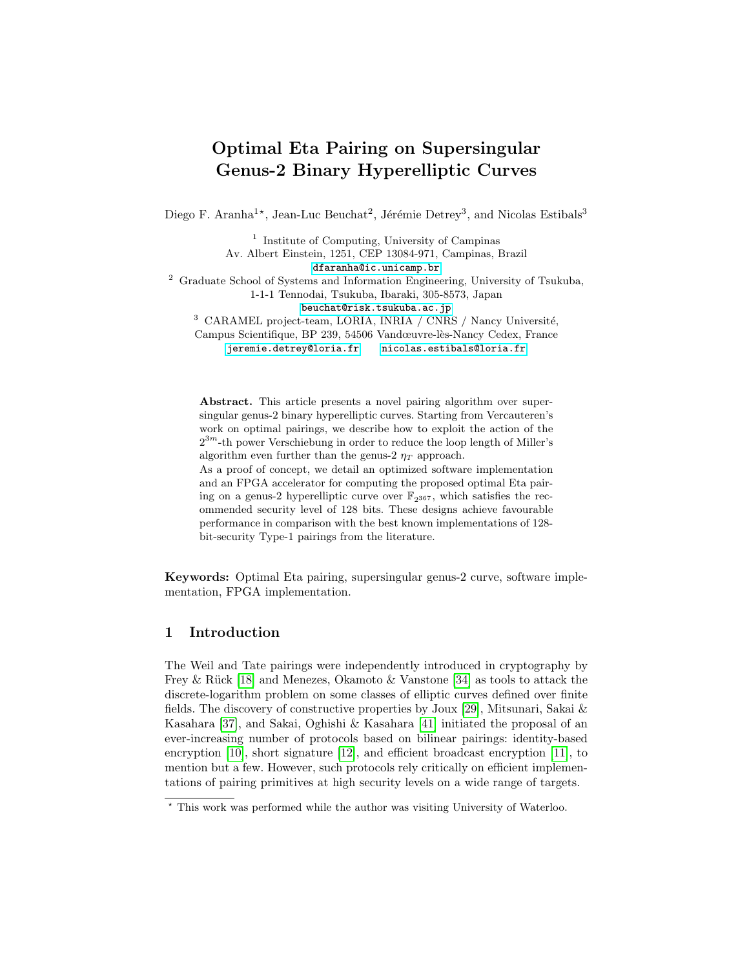# Optimal Eta Pairing on Supersingular Genus-2 Binary Hyperelliptic Curves

Diego F. Aranha<sup>1\*</sup>, Jean-Luc Beuchat<sup>2</sup>, Jérémie Detrey<sup>3</sup>, and Nicolas Estibals<sup>3</sup>

<sup>1</sup> Institute of Computing, University of Campinas Av. Albert Einstein, 1251, CEP 13084-971, Campinas, Brazil <dfaranha@ic.unicamp.br> <sup>2</sup> Graduate School of Systems and Information Engineering, University of Tsukuba, 1-1-1 Tennodai, Tsukuba, Ibaraki, 305-8573, Japan <beuchat@risk.tsukuba.ac.jp>  $^3\,$  CARAMEL project-team, LORIA, INRIA / CNRS / Nancy Université, Campus Scientifique, BP 239, 54506 Vandœuvre-lès-Nancy Cedex, France <jeremie.detrey@loria.fr><nicolas.estibals@loria.fr>

Abstract. This article presents a novel pairing algorithm over supersingular genus-2 binary hyperelliptic curves. Starting from Vercauteren's work on optimal pairings, we describe how to exploit the action of the  $2^{3m}$ -th power Verschiebung in order to reduce the loop length of Miller's algorithm even further than the genus-2  $\eta_T$  approach.

As a proof of concept, we detail an optimized software implementation and an FPGA accelerator for computing the proposed optimal Eta pairing on a genus-2 hyperelliptic curve over  $\mathbb{F}_{2^{367}}$ , which satisfies the recommended security level of 128 bits. These designs achieve favourable performance in comparison with the best known implementations of 128 bit-security Type-1 pairings from the literature.

Keywords: Optimal Eta pairing, supersingular genus-2 curve, software implementation, FPGA implementation.

# 1 Introduction

The Weil and Tate pairings were independently introduced in cryptography by Frey & Rück [\[18\]](#page-16-0) and Menezes, Okamoto & Vanstone [\[34\]](#page-17-0) as tools to attack the discrete-logarithm problem on some classes of elliptic curves defined over finite fields. The discovery of constructive properties by Joux [\[29\]](#page-17-1), Mitsunari, Sakai & Kasahara [\[37\]](#page-17-2), and Sakai, Oghishi & Kasahara [\[41\]](#page-17-3) initiated the proposal of an ever-increasing number of protocols based on bilinear pairings: identity-based encryption [\[10\]](#page-16-1), short signature [\[12\]](#page-16-2), and efficient broadcast encryption [\[11\]](#page-16-3), to mention but a few. However, such protocols rely critically on efficient implementations of pairing primitives at high security levels on a wide range of targets.

<sup>?</sup> This work was performed while the author was visiting University of Waterloo.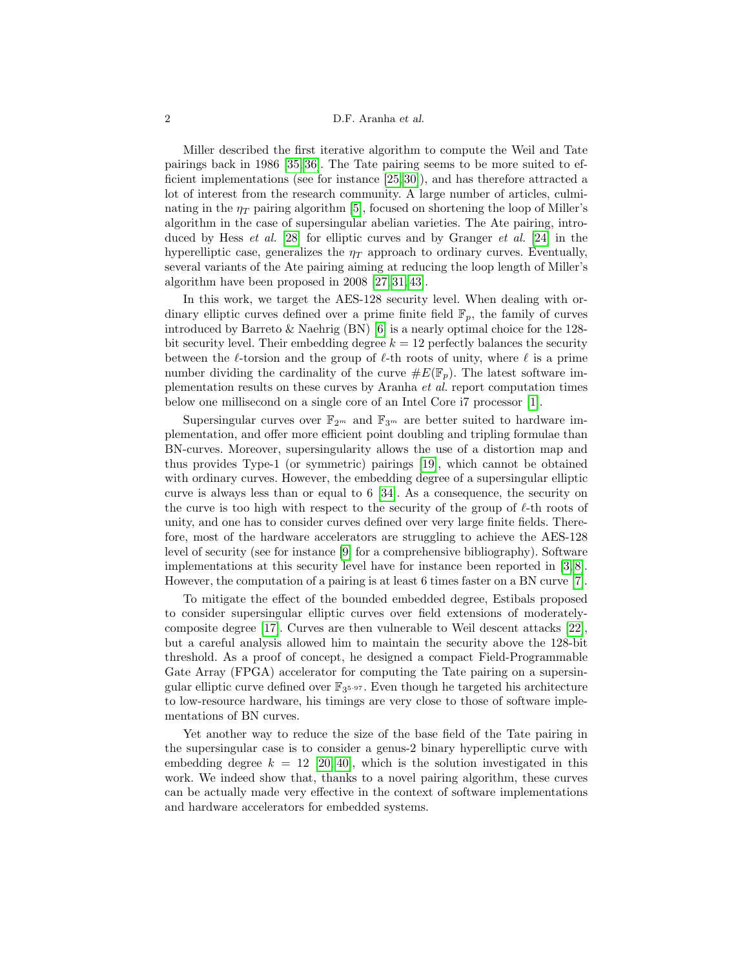### 2 D.F. Aranha et al.

Miller described the first iterative algorithm to compute the Weil and Tate pairings back in 1986 [\[35,](#page-17-4) [36\]](#page-17-5). The Tate pairing seems to be more suited to efficient implementations (see for instance [\[25,](#page-17-6) [30\]](#page-17-7)), and has therefore attracted a lot of interest from the research community. A large number of articles, culminating in the  $\eta_T$  pairing algorithm [\[5\]](#page-16-4), focused on shortening the loop of Miller's algorithm in the case of supersingular abelian varieties. The Ate pairing, introduced by Hess *et al.* [\[28\]](#page-17-8) for elliptic curves and by Granger *et al.* [\[24\]](#page-17-9) in the hyperelliptic case, generalizes the  $\eta_T$  approach to ordinary curves. Eventually, several variants of the Ate pairing aiming at reducing the loop length of Miller's algorithm have been proposed in 2008 [\[27,](#page-17-10) [31,](#page-17-11) [43\]](#page-17-12).

In this work, we target the AES-128 security level. When dealing with ordinary elliptic curves defined over a prime finite field  $\mathbb{F}_p$ , the family of curves introduced by Barreto & Naehrig (BN) [\[6\]](#page-16-5) is a nearly optimal choice for the 128 bit security level. Their embedding degree  $k = 12$  perfectly balances the security between the  $\ell$ -torsion and the group of  $\ell$ -th roots of unity, where  $\ell$  is a prime number dividing the cardinality of the curve  $\#E(\mathbb{F}_p)$ . The latest software implementation results on these curves by Aranha et al. report computation times below one millisecond on a single core of an Intel Core i7 processor [\[1\]](#page-15-0).

Supersingular curves over  $\mathbb{F}_{2^m}$  and  $\mathbb{F}_{3^m}$  are better suited to hardware implementation, and offer more efficient point doubling and tripling formulae than BN-curves. Moreover, supersingularity allows the use of a distortion map and thus provides Type-1 (or symmetric) pairings [\[19\]](#page-16-6), which cannot be obtained with ordinary curves. However, the embedding degree of a supersingular elliptic curve is always less than or equal to 6 [\[34\]](#page-17-0). As a consequence, the security on the curve is too high with respect to the security of the group of  $\ell$ -th roots of unity, and one has to consider curves defined over very large finite fields. Therefore, most of the hardware accelerators are struggling to achieve the AES-128 level of security (see for instance [\[9\]](#page-16-7) for a comprehensive bibliography). Software implementations at this security level have for instance been reported in [\[3,](#page-15-1) [8\]](#page-16-8). However, the computation of a pairing is at least 6 times faster on a BN curve [\[7\]](#page-16-9).

To mitigate the effect of the bounded embedded degree, Estibals proposed to consider supersingular elliptic curves over field extensions of moderatelycomposite degree [\[17\]](#page-16-10). Curves are then vulnerable to Weil descent attacks [\[22\]](#page-16-11), but a careful analysis allowed him to maintain the security above the 128-bit threshold. As a proof of concept, he designed a compact Field-Programmable Gate Array (FPGA) accelerator for computing the Tate pairing on a supersingular elliptic curve defined over  $\mathbb{F}_{3^{5\cdot 97}}$ . Even though he targeted his architecture to low-resource hardware, his timings are very close to those of software implementations of BN curves.

Yet another way to reduce the size of the base field of the Tate pairing in the supersingular case is to consider a genus-2 binary hyperelliptic curve with embedding degree  $k = 12$  [\[20,](#page-16-12) [40\]](#page-17-13), which is the solution investigated in this work. We indeed show that, thanks to a novel pairing algorithm, these curves can be actually made very effective in the context of software implementations and hardware accelerators for embedded systems.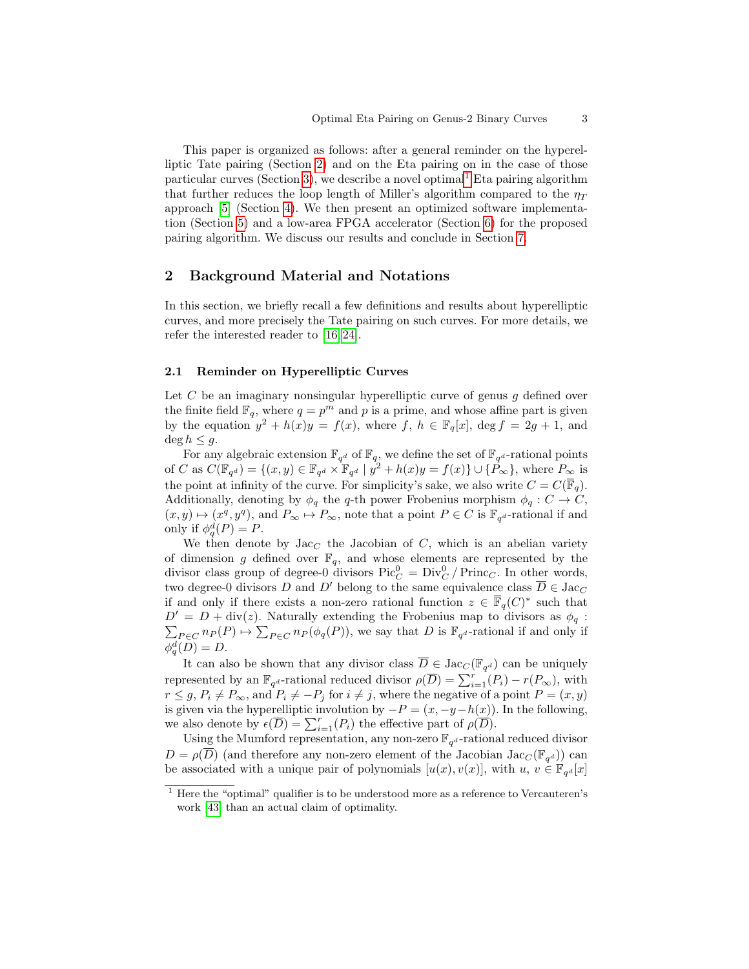This paper is organized as follows: after a general reminder on the hyperelliptic Tate pairing (Section [2\)](#page-2-0) and on the Eta pairing on in the case of those particular curves (Section [3\)](#page-4-0), we describe a novel optimal<sup>[1](#page-2-1)</sup> Eta pairing algorithm that further reduces the loop length of Miller's algorithm compared to the  $\eta_T$ approach [\[5\]](#page-16-4) (Section [4\)](#page-8-0). We then present an optimized software implementation (Section [5\)](#page-13-0) and a low-area FPGA accelerator (Section [6\)](#page-14-0) for the proposed pairing algorithm. We discuss our results and conclude in Section [7.](#page-14-1)

# <span id="page-2-0"></span>2 Background Material and Notations

In this section, we briefly recall a few definitions and results about hyperelliptic curves, and more precisely the Tate pairing on such curves. For more details, we refer the interested reader to [\[16,](#page-16-13) [24\]](#page-17-9).

### 2.1 Reminder on Hyperelliptic Curves

Let  $C$  be an imaginary nonsingular hyperelliptic curve of genus  $g$  defined over the finite field  $\mathbb{F}_q$ , where  $q = p^m$  and p is a prime, and whose affine part is given by the equation  $y^2 + h(x)y = f(x)$ , where f,  $h \in \mathbb{F}_q[x]$ ,  $\deg f = 2g + 1$ , and  $\deg h \leq q$ .

For any algebraic extension  $\mathbb{F}_{q^d}$  of  $\mathbb{F}_q$ , we define the set of  $\mathbb{F}_{q^d}$ -rational points of C as  $C(\mathbb{F}_{q^d}) = \{(x, y) \in \mathbb{F}_{q^d} \times \mathbb{F}_{q^d} \mid y^2 + h(x)y = f(x)\} \cup \{\mathbb{P}_{\infty}\},\$  where  $P_{\infty}$  is the point at infinity of the curve. For simplicity's sake, we also write  $C = C(\overline{\mathbb{F}}_q)$ . Additionally, denoting by  $\phi_q$  the q-th power Frobenius morphism  $\phi_q : C \to C$ ,  $(x, y) \mapsto (x^q, y^q)$ , and  $P_{\infty} \mapsto P_{\infty}$ , note that a point  $P \in C$  is  $\mathbb{F}_{q^d}$ -rational if and only if  $\phi_q^d(P) = P$ .

We then denote by  $Jac_C$  the Jacobian of C, which is an abelian variety of dimension g defined over  $\mathbb{F}_q$ , and whose elements are represented by the divisor class group of degree-0 divisors  $Pic_C^0 = Div_C^0 / \text{Princ}_C$ . In other words, two degree-0 divisors D and D' belong to the same equivalence class  $\overline{D} \in \text{Jac}_C$ if and only if there exists a non-zero rational function  $z \in \overline{\mathbb{F}}_q(C)^*$  such that  $D' = D + \text{div}(z)$ . Naturally extending the Frobenius map to divisors as  $\phi_q$ :  $\sum_{P \in C} n_P(P) \mapsto \sum_{P \in C} n_P(\phi_q(P))$ , we say that D is  $\mathbb{F}_{q^d}$ -rational if and only if  $\phi_q^d(D) = D.$ 

It can also be shown that any divisor class  $\overline{D} \in \text{Jac}_{\mathbb{C}}(\mathbb{F}_{q^d})$  can be uniquely represented by an  $\mathbb{F}_{q^d}$ -rational reduced divisor  $\rho(\overline{D}) = \sum_{i=1}^r (P_i) - r(P_{\infty}),$  with  $r \leq g, P_i \neq P_{\infty}$ , and  $P_i \neq -P_j$  for  $i \neq j$ , where the negative of a point  $P = (x, y)$ is given via the hyperelliptic involution by  $-P = (x, -y-h(x))$ . In the following, we also denote by  $\epsilon(\overline{D}) = \sum_{i=1}^r (P_i)$  the effective part of  $\rho(\overline{D})$ .

Using the Mumford representation, any non-zero  $\mathbb{F}_{q^d}$ -rational reduced divisor  $D = \rho(\overline{D})$  (and therefore any non-zero element of the Jacobian Jac<sub>C</sub>( $\mathbb{F}_{q^d}$ )) can be associated with a unique pair of polynomials  $[u(x), v(x)]$ , with  $u, v \in \mathbb{F}_{q^d}[x]$ 

<span id="page-2-1"></span> $1$  Here the "optimal" qualifier is to be understood more as a reference to Vercauteren's work [\[43\]](#page-17-12) than an actual claim of optimality.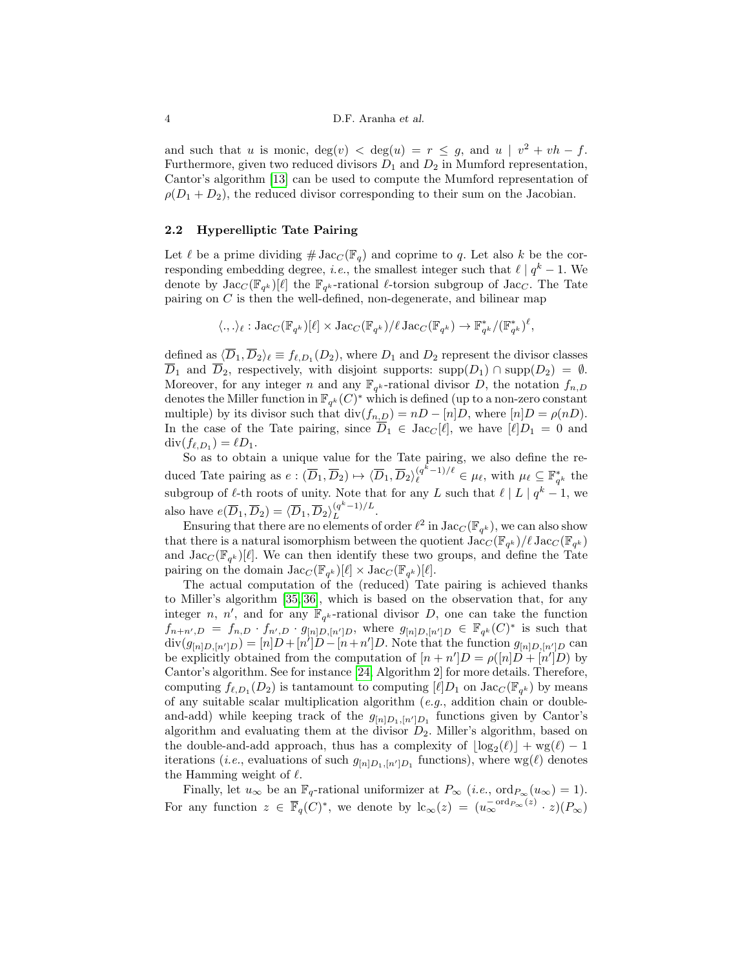and such that u is monic,  $deg(v) < deg(u) = r \leq g$ , and  $u \mid v^2 + vh - f$ . Furthermore, given two reduced divisors  $D_1$  and  $D_2$  in Mumford representation, Cantor's algorithm [\[13\]](#page-16-14) can be used to compute the Mumford representation of  $\rho(D_1 + D_2)$ , the reduced divisor corresponding to their sum on the Jacobian.

#### <span id="page-3-0"></span>2.2 Hyperelliptic Tate Pairing

Let  $\ell$  be a prime dividing  $\#\operatorname{Jac}_C(\mathbb{F}_q)$  and coprime to q. Let also k be the corresponding embedding degree, *i.e.*, the smallest integer such that  $\ell | q^k - 1$ . We denote by  $\text{Jac}_C(\mathbb{F}_{q^k})[\ell]$  the  $\mathbb{F}_{q^k}$ -rational  $\ell$ -torsion subgroup of  $\text{Jac}_C$ . The Tate pairing on C is then the well-defined, non-degenerate, and bilinear map

$$
\langle.,.\rangle_{\ell} : \mathrm{Jac}_C(\mathbb{F}_{q^k})[\ell] \times \mathrm{Jac}_C(\mathbb{F}_{q^k})/\ell \, \mathrm{Jac}_C(\mathbb{F}_{q^k}) \to \mathbb{F}_{q^k}^*/(\mathbb{F}_{q^k}^*)^{\ell},
$$

defined as  $\langle \overline{D}_1, \overline{D}_2 \rangle_\ell \equiv f_{\ell,D_1}(D_2)$ , where  $D_1$  and  $D_2$  represent the divisor classes  $\overline{D}_1$  and  $\overline{D}_2$ , respectively, with disjoint supports: supp $(D_1) \cap \text{supp}(D_2) = \emptyset$ . Moreover, for any integer n and any  $\mathbb{F}_{q^k}$ -rational divisor D, the notation  $f_{n,D}$ denotes the Miller function in  $\mathbb{F}_{q^k}(C)^*$  which is defined (up to a non-zero constant multiple) by its divisor such that  $\text{div}(f_{n,D}) = nD - [n]D$ , where  $[n]D = \rho(nD)$ . In the case of the Tate pairing, since  $\overline{D}_1 \in \text{Jac}_{\mathbb{C}}[\ell],$  we have  $[\ell]D_1 = 0$  and  $\operatorname{div}(f_{\ell,D_1}) = \ell D_1.$ 

So as to obtain a unique value for the Tate pairing, we also define the reduced Tate pairing as  $e: (\overline{D}_1, \overline{D}_2) \mapsto \langle \overline{D}_1, \overline{D}_2 \rangle_{\ell}^{(q^k-1)/\ell} \in \mu_{\ell}$ , with  $\mu_{\ell} \subseteq \mathbb{F}_{q^k}^*$  the subgroup of  $\ell$ -th roots of unity. Note that for any L such that  $\ell | L | q^k - 1$ , we also have  $e(\overline{D}_1, \overline{D}_2) = \langle \overline{D}_1, \overline{D}_2 \rangle_L^{(q^k-1)/L}$  $L^{(q-1)/L}$ .

Ensuring that there are no elements of order  $\ell^2$  in  $\text{Jac}_C(\mathbb{F}_{q^k})$ , we can also show that there is a natural isomorphism between the quotient  $\text{Jac}_C(\mathbb{F}_{q^k})/\ell \text{Jac}_C(\mathbb{F}_{q^k})$ and  $\text{Jac}_{C}(\mathbb{F}_{q^k})[\ell]$ . We can then identify these two groups, and define the Tate pairing on the domain  $\text{Jac}_C(\mathbb{F}_{q^k})[\ell] \times \text{Jac}_C(\mathbb{F}_{q^k})[\ell].$ 

The actual computation of the (reduced) Tate pairing is achieved thanks to Miller's algorithm [\[35,](#page-17-4) [36\]](#page-17-5), which is based on the observation that, for any integer n, n', and for any  $\mathbb{F}_{q^k}$ -rational divisor D, one can take the function  $f_{n+n',D} = f_{n,D} \cdot f_{n',D} \cdot g_{[n]D,[n']}$ , where  $g_{[n]D,[n']}$   $\in \mathbb{F}_{q^k}(C)^*$  is such that  $\text{div}(g_{[n]D,[n']D}) = [n]D + [n']D - [n+n']D.$  Note that the function  $g_{[n]D,[n']D}$  can be explicitly obtained from the computation of  $[n + n']D = \rho([n]D + [n']D)$  by Cantor's algorithm. See for instance [\[24,](#page-17-9) Algorithm 2] for more details. Therefore, computing  $f_{\ell,D_1}(D_2)$  is tantamount to computing  $[\ell]D_1$  on  $\text{Jac}_C(\mathbb{F}_{q^k})$  by means of any suitable scalar multiplication algorithm (e.g., addition chain or doubleand-add) while keeping track of the  $g_{[n]D_1,[n']D_1}$  functions given by Cantor's algorithm and evaluating them at the divisor  $D_2$ . Miller's algorithm, based on the double-and-add approach, thus has a complexity of  $\lfloor \log_2(\ell) \rfloor + \text{wg}(\ell) - 1$ iterations (*i.e.*, evaluations of such  $g_{[n]D_1,[n']D_1}$  functions), where  $\text{wg}(\ell)$  denotes the Hamming weight of  $\ell$ .

Finally, let  $u_{\infty}$  be an  $\mathbb{F}_q$ -rational uniformizer at  $P_{\infty}$  (*i.e.*, ord $P_{\infty}(u_{\infty}) = 1$ ). For any function  $z \in \overline{\mathbb{F}}_q(C)^*$ , we denote by  $\mathrm{lc}_{\infty}(z) = (u_{\infty}^{-\mathrm{ord}_{P_{\infty}}(z)} \cdot z)(P_{\infty})$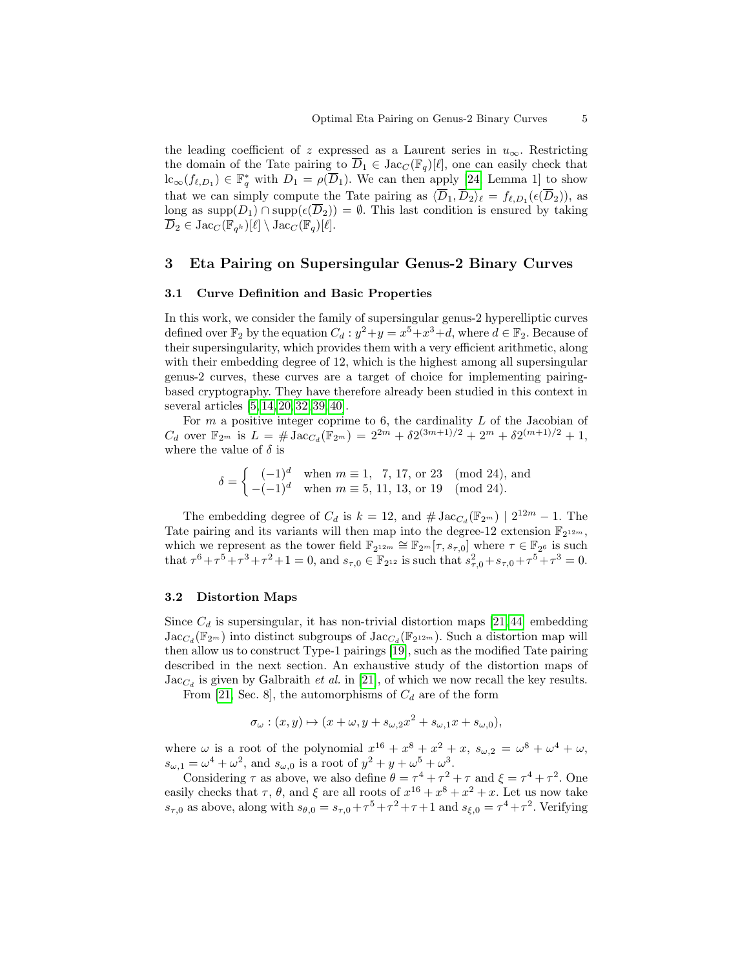the leading coefficient of z expressed as a Laurent series in  $u_{\infty}$ . Restricting the domain of the Tate pairing to  $D_1 \in \text{Jac}_{\mathbb{C}}(\mathbb{F}_q)[\ell],$  one can easily check that  $\mathrm{lc}_{\infty}(f_{\ell,D_1}) \in \mathbb{F}_q^*$  with  $D_1 = \rho(\overline{D}_1)$ . We can then apply [\[24,](#page-17-9) Lemma 1] to show that we can simply compute the Tate pairing as  $\langle \overline{D}_1, \overline{D}_2 \rangle_\ell = f_{\ell,D_1}(\epsilon(\overline{D}_2))$ , as long as supp $(D_1) \cap \text{supp}(\epsilon(\overline{D}_2)) = \emptyset$ . This last condition is ensured by taking  $\overline{D}_2 \in \text{Jac}_C(\overline{\mathbb{F}_{q^k}})[\ell] \setminus \text{Jac}_C(\overline{\mathbb{F}_{q}})[\ell].$ 

### <span id="page-4-0"></span>3 Eta Pairing on Supersingular Genus-2 Binary Curves

#### 3.1 Curve Definition and Basic Properties

In this work, we consider the family of supersingular genus-2 hyperelliptic curves defined over  $\mathbb{F}_2$  by the equation  $C_d$ :  $y^2 + y = x^5 + x^3 + d$ , where  $d \in \mathbb{F}_2$ . Because of their supersingularity, which provides them with a very efficient arithmetic, along with their embedding degree of 12, which is the highest among all supersingular genus-2 curves, these curves are a target of choice for implementing pairingbased cryptography. They have therefore already been studied in this context in several articles [\[5,](#page-16-4) [14,](#page-16-15) [20,](#page-16-12) [32,](#page-17-14) [39,](#page-17-15) [40\]](#page-17-13).

For  $m$  a positive integer coprime to 6, the cardinality  $L$  of the Jacobian of  $C_d$  over  $\mathbb{F}_{2^m}$  is  $L = \# \operatorname{Jac}_{C_d}(\mathbb{F}_{2^m}) = 2^{2m} + \delta 2^{(3m+1)/2} + 2^m + \delta 2^{(m+1)/2} + 1$ , where the value of  $\delta$  is

$$
\delta = \begin{cases}\n(-1)^d & \text{when } m \equiv 1, 7, 17, \text{ or } 23 \pmod{24}, \text{ and} \\
-(-1)^d & \text{when } m \equiv 5, 11, 13, \text{ or } 19 \pmod{24}.\n\end{cases}
$$

The embedding degree of  $C_d$  is  $k = 12$ , and  $\# \operatorname{Jac}_{C_d}(\mathbb{F}_{2^m}) \mid 2^{12m} - 1$ . The Tate pairing and its variants will then map into the degree-12 extension  $\mathbb{F}_{2^{12m}}$ , which we represent as the tower field  $\mathbb{F}_{2^{12m}} \cong \mathbb{F}_{2^m}[\tau, s_{\tau,0}]$  where  $\tau \in \mathbb{F}_{2^6}$  is such that  $\tau^6 + \tau^5 + \tau^3 + \tau^2 + 1 = 0$ , and  $s_{\tau,0} \in \mathbb{F}_{2^{12}}$  is such that  $s_{\tau,0}^2 + s_{\tau,0} + \tau^5 + \tau^3 = 0$ .

#### <span id="page-4-1"></span>3.2 Distortion Maps

Since  $C_d$  is supersingular, it has non-trivial distortion maps [\[21,](#page-16-16) [44\]](#page-17-16) embedding  $\text{Jac}_{C_d}(\mathbb{F}_{2^m})$  into distinct subgroups of  $\text{Jac}_{C_d}(\mathbb{F}_{2^{12m}})$ . Such a distortion map will then allow us to construct Type-1 pairings [\[19\]](#page-16-6), such as the modified Tate pairing described in the next section. An exhaustive study of the distortion maps of  $\text{Jac}_{C_d}$  is given by Galbraith *et al.* in [\[21\]](#page-16-16), of which we now recall the key results.

From [\[21,](#page-16-16) Sec. 8], the automorphisms of  $C_d$  are of the form

$$
\sigma_{\omega} : (x, y) \mapsto (x + \omega, y + s_{\omega,2}x^2 + s_{\omega,1}x + s_{\omega,0}),
$$

where  $\omega$  is a root of the polynomial  $x^{16} + x^8 + x^2 + x$ ,  $s_{\omega,2} = \omega^8 + \omega^4 + \omega$ ,  $s_{\omega,1} = \omega^4 + \omega^2$ , and  $s_{\omega,0}$  is a root of  $y^2 + y + \omega^5 + \omega^3$ .

Considering  $\tau$  as above, we also define  $\theta = \tau^4 + \tau^2 + \tau$  and  $\xi = \tau^4 + \tau^2$ . One easily checks that  $\tau$ ,  $\theta$ , and  $\xi$  are all roots of  $x^{16} + x^8 + x^2 + x$ . Let us now take  $s_{\tau,0}$  as above, along with  $s_{\theta,0} = s_{\tau,0} + \tau^5 + \tau^2 + \tau + 1$  and  $s_{\xi,0} = \tau^4 + \tau^2$ . Verifying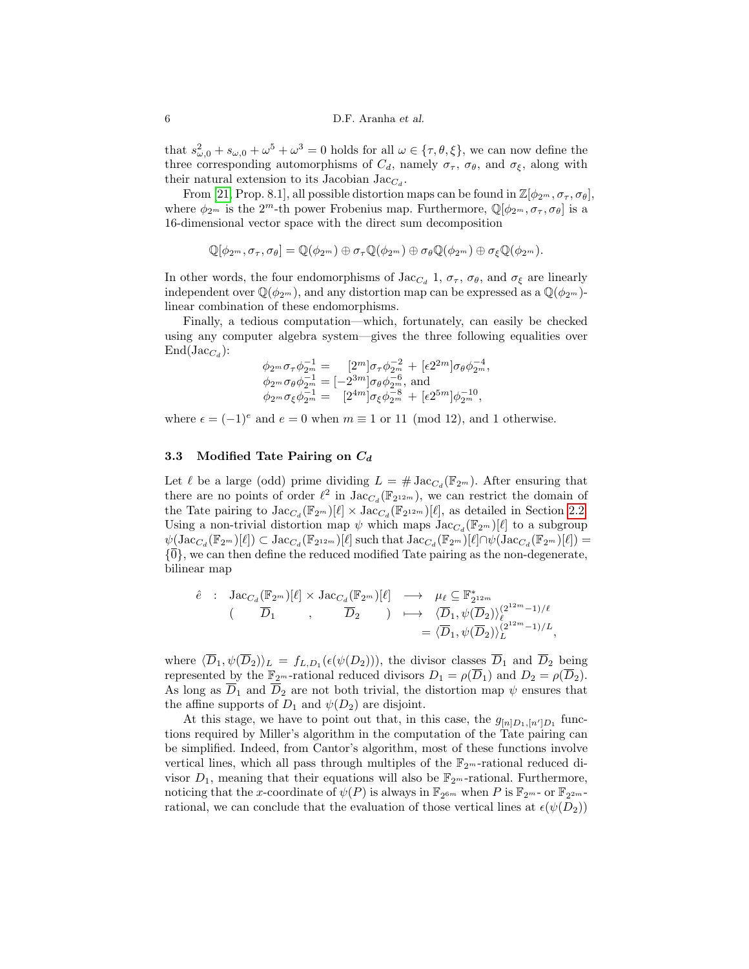that  $s_{\omega,0}^2 + s_{\omega,0} + \omega^5 + \omega^3 = 0$  holds for all  $\omega \in {\tau, \theta, \xi}$ , we can now define the three corresponding automorphisms of  $C_d$ , namely  $\sigma_{\tau}$ ,  $\sigma_{\theta}$ , and  $\sigma_{\xi}$ , along with their natural extension to its Jacobian  $\text{Jac}_{C_d}$ .

From [\[21,](#page-16-16) Prop. 8.1], all possible distortion maps can be found in  $\mathbb{Z}[\phi_{2^m}, \sigma_{\tau}, \sigma_{\theta}]$ , where  $\phi_{2^m}$  is the 2<sup>m</sup>-th power Frobenius map. Furthermore,  $\mathbb{Q}[\phi_{2^m}, \sigma_{\tau}, \sigma_{\theta}]$  is a 16-dimensional vector space with the direct sum decomposition

$$
\mathbb{Q}[\phi_{2^m}, \sigma_{\tau}, \sigma_{\theta}] = \mathbb{Q}(\phi_{2^m}) \oplus \sigma_{\tau} \mathbb{Q}(\phi_{2^m}) \oplus \sigma_{\theta} \mathbb{Q}(\phi_{2^m}) \oplus \sigma_{\xi} \mathbb{Q}(\phi_{2^m}).
$$

In other words, the four endomorphisms of Jac<sub>C<sub>d</sub></sub> 1,  $\sigma_{\tau}$ ,  $\sigma_{\theta}$ , and  $\sigma_{\xi}$  are linearly independent over  $\mathbb{Q}(\phi_{2^m})$ , and any distortion map can be expressed as a  $\mathbb{Q}(\phi_{2^m})$ linear combination of these endomorphisms.

Finally, a tedious computation—which, fortunately, can easily be checked using any computer algebra system—gives the three following equalities over  $\text{End}(\text{Jac}_{C_d})$ :

$$
\phi_{2^m} \sigma_{\tau} \phi_{2^m}^{-1} = [2^m] \sigma_{\tau} \phi_{2^m}^{-2} + [\epsilon 2^{2m}] \sigma_{\theta} \phi_{2^m}^{-4}, \phi_{2^m} \sigma_{\theta} \phi_{2^m}^{-1} = [-2^{3m}] \sigma_{\theta} \phi_{2^m}^{-6}, \text{ and} \phi_{2^m} \sigma_{\xi} \phi_{2^m}^{-1} = [2^{4m}] \sigma_{\xi} \phi_{2^m}^{-8} + [\epsilon 2^{5m}] \phi_{2^m}^{-10},
$$

where  $\epsilon = (-1)^e$  and  $e = 0$  when  $m \equiv 1$  or 11 (mod 12), and 1 otherwise.

### 3.3 Modified Tate Pairing on  $C_d$

Let  $\ell$  be a large (odd) prime dividing  $L = # \operatorname{Jac}_{C_d}(\mathbb{F}_{2^m})$ . After ensuring that there are no points of order  $\ell^2$  in  $\text{Jac}_{C_d}(\mathbb{F}_{2^{12m}})$ , we can restrict the domain of the Tate pairing to  $\text{Jac}_{C_d}(\mathbb{F}_{2^m})[\ell] \times \text{Jac}_{C_d}(\mathbb{F}_{2^{12m}})[\ell]$ , as detailed in Section [2.2.](#page-3-0) Using a non-trivial distortion map  $\psi$  which maps  $\text{Jac}_{C_d}(\mathbb{F}_{2^m})[\ell]$  to a subgroup  $\psi(\operatorname{Jac}_{C_d}(\mathbb{F}_{2^m})[\ell]) \subset \operatorname{Jac}_{C_d}(\mathbb{F}_{2^{12m}})[\ell]$  such that  $\operatorname{Jac}_{C_d}(\mathbb{F}_{2^m})[\ell] \cap \psi(\operatorname{Jac}_{C_d}(\mathbb{F}_{2^m})[\ell]) =$  $\{\overline{0}\}$ , we can then define the reduced modified Tate pairing as the non-degenerate, bilinear map

$$
\begin{array}{cccc}\n\hat{e} & \colon & \text{Jac}_{C_d}(\mathbb{F}_{2^m})[\ell] \times \text{Jac}_{C_d}(\mathbb{F}_{2^m})[\ell] & \longrightarrow & \mu_{\ell} \subseteq \mathbb{F}_{2^{12m}}^* \\
 & & \quad (\overline{D}_1 & , & \overline{D}_2 & ) & \longmapsto & \langle \overline{D}_1, \psi(\overline{D}_2) \rangle_{\ell}^{(2^{12m}-1)/\ell} \\
 & & & \quad = \langle \overline{D}_1, \psi(\overline{D}_2) \rangle_{L}^{(2^{12m}-1)/L},\n\end{array}
$$

where  $\langle \overline{D}_1, \psi(\overline{D}_2) \rangle_L = f_{L,D_1}(\epsilon(\psi(D_2))),$  the divisor classes  $\overline{D}_1$  and  $\overline{D}_2$  being represented by the  $\mathbb{F}_{2^m}$ -rational reduced divisors  $D_1 = \rho(\overline{D}_1)$  and  $D_2 = \rho(\overline{D}_2)$ . As long as  $\overline{D}_1$  and  $\overline{D}_2$  are not both trivial, the distortion map  $\psi$  ensures that the affine supports of  $D_1$  and  $\psi(D_2)$  are disjoint.

At this stage, we have to point out that, in this case, the  $g_{[n]D_1,[n']D_1}$  functions required by Miller's algorithm in the computation of the Tate pairing can be simplified. Indeed, from Cantor's algorithm, most of these functions involve vertical lines, which all pass through multiples of the  $\mathbb{F}_{2^m}$ -rational reduced divisor  $D_1$ , meaning that their equations will also be  $\mathbb{F}_{2m}$ -rational. Furthermore, noticing that the x-coordinate of  $\psi(P)$  is always in  $\mathbb{F}_{2^{6m}}$  when P is  $\mathbb{F}_{2^m}$ - or  $\mathbb{F}_{2^{2m}}$ rational, we can conclude that the evaluation of those vertical lines at  $\epsilon(\psi(D_2))$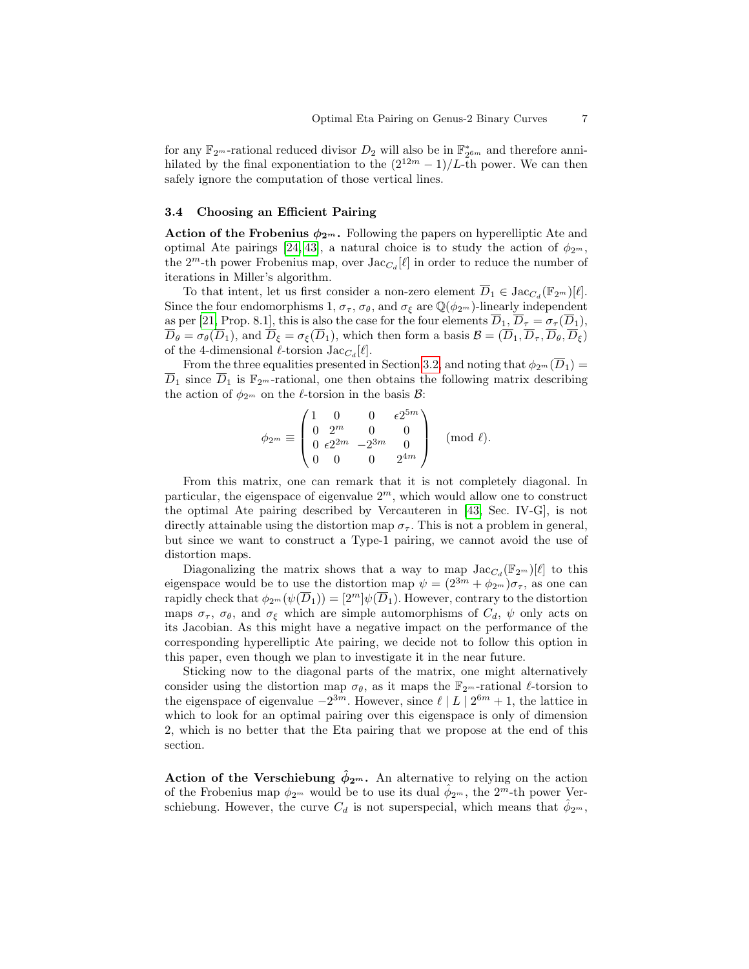for any  $\mathbb{F}_{2^m}$ -rational reduced divisor  $D_2$  will also be in  $\mathbb{F}_{2^{6m}}^*$  and therefore annihilated by the final exponentiation to the  $(2^{12m}-1)/L$ -th power. We can then safely ignore the computation of those vertical lines.

#### 3.4 Choosing an Efficient Pairing

Action of the Frobenius  $\phi_{2^m}$ . Following the papers on hyperelliptic Ate and optimal Ate pairings [\[24,](#page-17-9) [43\]](#page-17-12), a natural choice is to study the action of  $\phi_{2^m}$ , the  $2^m$ -th power Frobenius map, over  $\text{Jac}_{C_d}[\ell]$  in order to reduce the number of iterations in Miller's algorithm.

To that intent, let us first consider a non-zero element  $\overline{D}_1 \in \text{Jac}_{C_d}(\mathbb{F}_{2^m})[\ell].$ Since the four endomorphisms 1,  $\sigma_{\tau}$ ,  $\sigma_{\theta}$ , and  $\sigma_{\xi}$  are  $\mathbb{Q}(\phi_{2^m})$ -linearly independent as per [\[21,](#page-16-16) Prop. 8.1], this is also the case for the four elements  $\overline{D}_1$ ,  $\overline{D}_\tau = \sigma_\tau(\overline{D}_1)$ ,  $\overline{D}_{\theta} = \sigma_{\theta}(\overline{D}_1)$ , and  $\overline{D}_{\xi} = \sigma_{\xi}(\overline{D}_1)$ , which then form a basis  $\overline{B} = (\overline{D}_1, \overline{D}_\tau, \overline{D}_\theta, \overline{D}_\xi)$ of the 4-dimensional  $\ell$ -torsion  $Jac_{C_d}[\ell]$ .

From the three equalities presented in Section [3.2,](#page-4-1) and noting that  $\phi_{2m}(\overline{D}_1)$  =  $\overline{D}_1$  since  $\overline{D}_1$  is  $\mathbb{F}_{2^m}$ -rational, one then obtains the following matrix describing the action of  $\phi_{2^m}$  on the  $\ell$ -torsion in the basis  $\mathcal{B}$ :

$$
\phi_{2^m} \equiv \begin{pmatrix} 1 & 0 & 0 & \epsilon 2^{5m} \\ 0 & 2^m & 0 & 0 \\ 0 & \epsilon 2^{2m} & -2^{3m} & 0 \\ 0 & 0 & 0 & 2^{4m} \end{pmatrix} \pmod{\ell}.
$$

From this matrix, one can remark that it is not completely diagonal. In particular, the eigenspace of eigenvalue  $2<sup>m</sup>$ , which would allow one to construct the optimal Ate pairing described by Vercauteren in [\[43,](#page-17-12) Sec. IV-G], is not directly attainable using the distortion map  $\sigma_{\tau}$ . This is not a problem in general, but since we want to construct a Type-1 pairing, we cannot avoid the use of distortion maps.

Diagonalizing the matrix shows that a way to map  $\text{Jac}_{C_d}(\mathbb{F}_{2^m})[\ell]$  to this eigenspace would be to use the distortion map  $\psi = (2^{3m} + \phi_{2m})\sigma_{\tau}$ , as one can rapidly check that  $\phi_{2^m}(\psi(\overline{D}_1)) = [2^m] \psi(\overline{D}_1)$ . However, contrary to the distortion maps  $\sigma_{\tau}$ ,  $\sigma_{\theta}$ , and  $\sigma_{\xi}$  which are simple automorphisms of  $C_d$ ,  $\psi$  only acts on its Jacobian. As this might have a negative impact on the performance of the corresponding hyperelliptic Ate pairing, we decide not to follow this option in this paper, even though we plan to investigate it in the near future.

Sticking now to the diagonal parts of the matrix, one might alternatively consider using the distortion map  $\sigma_{\theta}$ , as it maps the  $\mathbb{F}_{2^m}$ -rational  $\ell$ -torsion to the eigenspace of eigenvalue  $-2^{3m}$ . However, since  $\ell \mid L \mid 2^{6m} + 1$ , the lattice in which to look for an optimal pairing over this eigenspace is only of dimension 2, which is no better that the Eta pairing that we propose at the end of this section.

Action of the Verschiebung  $\phi_{2^m}$ . An alternative to relying on the action of the Frobenius map  $\phi_{2^m}$  would be to use its dual  $\hat{\phi}_{2^m}$ , the  $2^m$ -th power Verschiebung. However, the curve  $C_d$  is not superspecial, which means that  $\hat{\phi}_{2^m}$ ,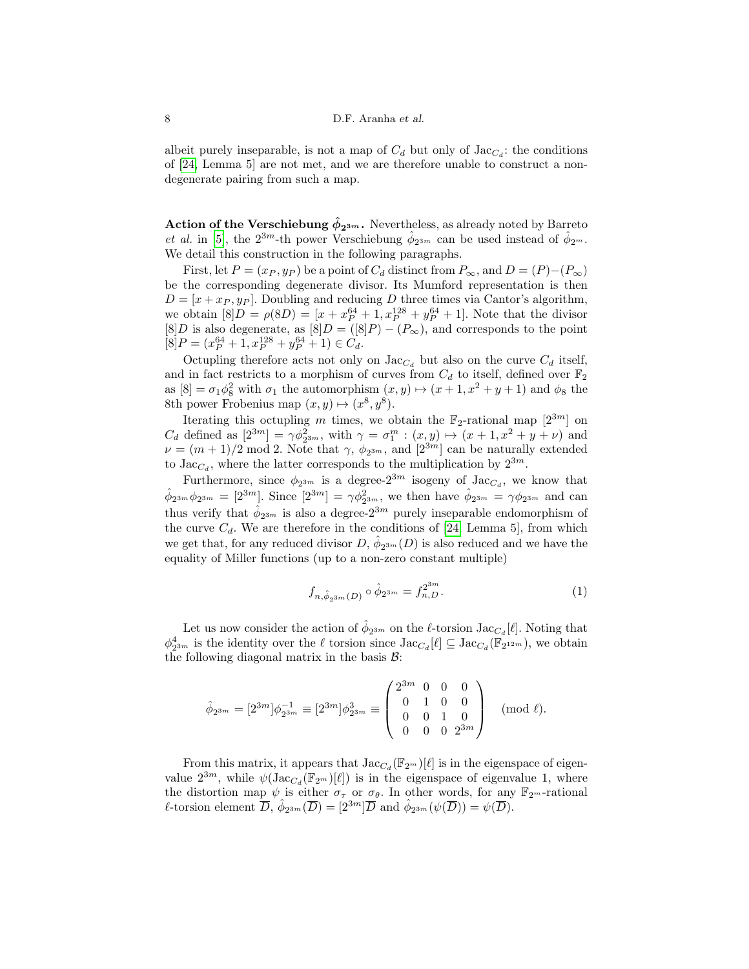albeit purely inseparable, is not a map of  $C_d$  but only of  $\text{Jac}_{C_d}$ : the conditions of [\[24,](#page-17-9) Lemma 5] are not met, and we are therefore unable to construct a nondegenerate pairing from such a map.

Action of the Verschiebung  $\hat{\phi}_{2^{3m}}$ . Nevertheless, as already noted by Barreto et al. in [\[5\]](#page-16-4), the  $2^{3m}$ -th power Verschiebung  $\hat{\phi}_{2^{3m}}$  can be used instead of  $\hat{\phi}_{2^m}$ . We detail this construction in the following paragraphs.

First, let  $P = (x_P, y_P)$  be a point of  $C_d$  distinct from  $P_\infty$ , and  $D = (P) - (P_\infty)$ be the corresponding degenerate divisor. Its Mumford representation is then  $D = [x + x<sub>P</sub>, y<sub>P</sub>]$ . Doubling and reducing D three times via Cantor's algorithm, we obtain  $[8]D = \rho(8D) = [x + x_P^{64} + 1, x_P^{128} + y_P^{64} + 1]$ . Note that the divisor [8]D is also degenerate, as  $[8]D = ([8]P) - (P_{\infty})$ , and corresponds to the point  $[8]P = (x_P^{64} + 1, x_P^{128} + y_P^{64} + 1) \in C_d.$ 

Octupling therefore acts not only on  $\text{Jac}_{C_d}$  but also on the curve  $C_d$  itself, and in fact restricts to a morphism of curves from  $C_d$  to itself, defined over  $\mathbb{F}_2$ as  $[8] = \sigma_1 \phi_8^2$  with  $\sigma_1$  the automorphism  $(x, y) \mapsto (x + 1, x^2 + y + 1)$  and  $\phi_8$  the 8th power Frobenius map  $(x, y) \mapsto (x^8, y^8)$ .

Iterating this octupling m times, we obtain the  $\mathbb{F}_2$ -rational map  $[2^{3m}]$  on  $C_d$  defined as  $[2^{3m}] = \gamma \phi_{2^{3m}}^2$ , with  $\gamma = \sigma_1^m : (x, y) \mapsto (x + 1, x^2 + y + \nu)$  and  $\nu = (m+1)/2 \mod 2$ . Note that  $\gamma$ ,  $\phi_{2^{3m}}$ , and  $[2^{3m}]$  can be naturally extended to  $\text{Jac}_{C_d}$ , where the latter corresponds to the multiplication by  $2^{3m}$ .

Furthermore, since  $\phi_{2^{3m}}$  is a degree- $2^{3m}$  isogeny of Jac<sub>C<sub>d</sub></sub>, we know that  $\hat{\phi}_{2^{3m}}\phi_{2^{3m}} = [2^{3m}]$ . Since  $[2^{3m}] = \gamma\phi_{2^{3m}}^2$ , we then have  $\hat{\phi}_{2^{3m}} = \gamma\phi_{2^{3m}}$  and can thus verify that  $\hat{\phi}_{2^{3m}}$  is also a degree- $2^{3m}$  purely inseparable endomorphism of the curve  $C_d$ . We are therefore in the conditions of [\[24,](#page-17-9) Lemma 5], from which we get that, for any reduced divisor  $D, \hat{\phi}_{2^{3m}}(D)$  is also reduced and we have the equality of Miller functions (up to a non-zero constant multiple)

<span id="page-7-0"></span>
$$
f_{n, \hat{\phi}_{2^{3m}}(D)} \circ \hat{\phi}_{2^{3m}} = f_{n,D}^{2^{3m}}.
$$
 (1)

Let us now consider the action of  $\hat{\phi}_{2^{3m}}$  on the  $\ell$ -torsion  $\text{Jac}_{C_d}[\ell]$ . Noting that  $\phi_{2^{3m}}^4$  is the identity over the  $\ell$  torsion since  $\text{Jac}_{C_d}[\ell] \subseteq \text{Jac}_{C_d}(\mathbb{F}_{2^{12m}})$ , we obtain the following diagonal matrix in the basis  $\mathcal{B}$ :

$$
\hat{\phi}_{2^{3m}} = [2^{3m}]\phi_{2^{3m}}^{-1} \equiv [2^{3m}]\phi_{2^{3m}}^{3} \equiv \begin{pmatrix} 2^{3m} & 0 & 0 & 0 \\ 0 & 1 & 0 & 0 \\ 0 & 0 & 1 & 0 \\ 0 & 0 & 0 & 2^{3m} \end{pmatrix} \pmod{\ell}.
$$

From this matrix, it appears that  $\text{Jac}_{C_d}(\mathbb{F}_{2^m})[\ell]$  is in the eigenspace of eigenvalue  $2^{3m}$ , while  $\psi(\operatorname{Jac}_{C_d}(\mathbb{F}_{2^m})[\ell])$  is in the eigenspace of eigenvalue 1, where the distortion map  $\psi$  is either  $\sigma_{\tau}$  or  $\sigma_{\theta}$ . In other words, for any  $\mathbb{F}_{2^m}$ -rational *l*-torsion element  $\overline{D}$ ,  $\hat{\phi}_{2^{3m}}(\overline{D}) = [2^{3m}]\overline{D}$  and  $\hat{\phi}_{2^{3m}}(\psi(\overline{D})) = \psi(\overline{D})$ .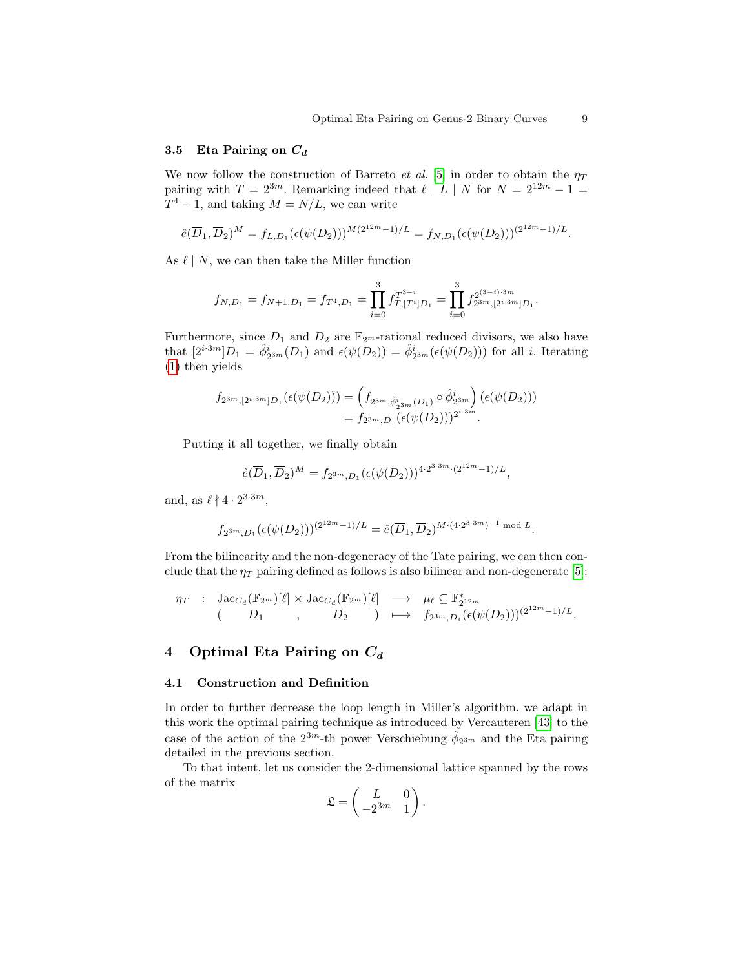#### 3.5 Eta Pairing on  $C_d$

We now follow the construction of Barreto et al. [\[5\]](#page-16-4) in order to obtain the  $\eta_T$ pairing with  $T = 2^{3m}$ . Remarking indeed that  $\ell \mid L \mid N$  for  $N = 2^{12m} - 1 =$  $T^4 - 1$ , and taking  $M = N/L$ , we can write

$$
\hat{e}(\overline{D}_1, \overline{D}_2)^M = f_{L,D_1}(\epsilon(\psi(D_2)))^{M(2^{12m}-1)/L} = f_{N,D_1}(\epsilon(\psi(D_2)))^{(2^{12m}-1)/L}.
$$

As  $\ell \mid N$ , we can then take the Miller function

$$
f_{N,D_1}=f_{N+1,D_1}=f_{T^4,D_1}=\prod_{i=0}^3f_{T,[T^i]D_1}^{T^{3-i}}=\prod_{i=0}^3f_{2^{3m},[2^{i\cdot3m}]D_1}^{2^{(3-i)\cdot3m}}
$$

Furthermore, since  $D_1$  and  $D_2$  are  $\mathbb{F}_{2^m}$ -rational reduced divisors, we also have that  $[2^{i\cdot 3m}]D_1 = \hat{\phi}_{2^{3m}}^i(D_1)$  and  $\epsilon(\psi(D_2)) = \hat{\phi}_{2^{3m}}^i(\epsilon(\psi(D_2)))$  for all *i*. Iterating [\(1\)](#page-7-0) then yields

$$
f_{2^{3m},[2^{i\cdot 3m}]D_1}(\epsilon(\psi(D_2))) = (f_{2^{3m},\hat{\phi}_{2^{3m}}^i(D_1)} \circ \hat{\phi}_{2^{3m}}^i) (\epsilon(\psi(D_2)))
$$
  
=  $f_{2^{3m},D_1}(\epsilon(\psi(D_2)))^{2^{i\cdot 3m}}.$ 

Putting it all together, we finally obtain

$$
\hat{e}(\overline{D}_1, \overline{D}_2)^M = f_{2^{3m}, D_1}(\epsilon(\psi(D_2)))^{4 \cdot 2^{3 \cdot 3m} \cdot (2^{12m} - 1)/L},
$$

and, as  $\ell \nmid 4 \cdot 2^{3 \cdot 3m}$ ,

$$
f_{2^{3m}, D_1}(\epsilon(\psi(D_2)))^{(2^{12m}-1)/L}=\widehat{e}(\overline{D}_1,\overline{D}_2)^{M\cdot(4\cdot 2^{3\cdot 3m})^{-1}\bmod L}.
$$

From the bilinearity and the non-degeneracy of the Tate pairing, we can then conclude that the  $\eta_T$  pairing defined as follows is also bilinear and non-degenerate [\[5\]](#page-16-4):

$$
\begin{array}{cccc} \eta_T & : & {\rm Jac}_{C_d}(\mathbb{F}_{2^m})[\ell]\times {\rm Jac}_{C_d}(\mathbb{F}_{2^m})[\ell] & \longrightarrow & \mu_{\ell}\subseteq \mathbb{F}_{2^{12m}}^*\\ & (\hspace{6mm} \overline{D}_1 \hspace{0.5mm} , & \overline{D}_2 \hspace{0.5mm} ) & \longmapsto & f_{2^{3m},D_1}(\epsilon(\psi(D_2)))^{(2^{12m}-1)/L}. \end{array}
$$

# <span id="page-8-0"></span>4 Optimal Eta Pairing on  $C_d$

#### 4.1 Construction and Definition

In order to further decrease the loop length in Miller's algorithm, we adapt in this work the optimal pairing technique as introduced by Vercauteren [\[43\]](#page-17-12) to the case of the action of the  $2^{3m}$ -th power Verschiebung  $\hat{\phi}_{2^{3m}}$  and the Eta pairing detailed in the previous section.

To that intent, let us consider the 2-dimensional lattice spanned by the rows of the matrix  $\overline{ }$ 

$$
\mathfrak{L} = \begin{pmatrix} L & 0 \\ -2^{3m} & 1 \end{pmatrix}.
$$

.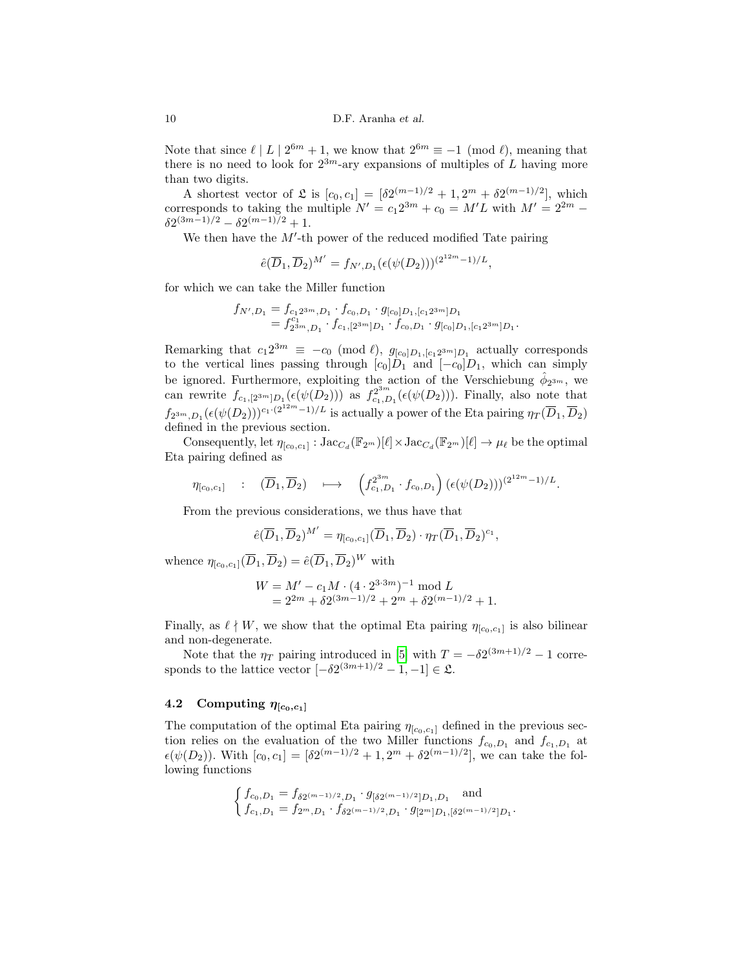Note that since  $\ell \mid L \mid 2^{6m} + 1$ , we know that  $2^{6m} \equiv -1 \pmod{\ell}$ , meaning that there is no need to look for  $2^{3m}$ -ary expansions of multiples of L having more than two digits.

A shortest vector of  $\mathfrak{L}$  is  $[c_0, c_1] = [\delta 2^{(m-1)/2} + 1, 2^m + \delta 2^{(m-1)/2}]$ , which corresponds to taking the multiple  $N' = c_1 2^{3m} + c_0 = M'L$  with  $M' = 2^{2m} \delta 2^{(3m-1)/2} - \delta 2^{(m-1)/2} + 1.$ 

We then have the  $M'$ -th power of the reduced modified Tate pairing

$$
\hat{e}(\overline{D}_1, \overline{D}_2)^{M'} = f_{N', D_1}(\epsilon(\psi(D_2)))^{(2^{12m}-1)/L},
$$

for which we can take the Miller function

$$
f_{N',D_1} = f_{c_1 2^{3m}, D_1} \cdot f_{c_0, D_1} \cdot g_{[c_0]D_1,[c_1 2^{3m}]D_1}
$$
  
=  $f_{2^{3m},D_1}^{c_1} \cdot f_{c_1,[2^{3m}]D_1} \cdot f_{c_0, D_1} \cdot g_{[c_0]D_1,[c_1 2^{3m}]D_1}.$ 

Remarking that  $c_1 2^{3m} \equiv -c_0 \pmod{l}$ ,  $g_{[c_0]D_1,[c_1 2^{3m}]D_1}$  actually corresponds to the vertical lines passing through  $[c_0]D_1$  and  $[-c_0]D_1$ , which can simply be ignored. Furthermore, exploiting the action of the Verschiebung  $\hat{\phi}_{2^{3m}}$ , we be ignored. Furthermore, exploiting the action of the verschieding  $\varphi_2^{3m}$ , we<br>can rewrite  $f_{c_1,[2^{3m}]D_1}(\epsilon(\psi(D_2)))$  as  $f_{c_1,D_1}^{2^{3m}}(\epsilon(\psi(D_2)))$ . Finally, also note that  $f_{2^{3m},D_1}(\epsilon(\psi(D_2)))^{c_1 \cdot (2^{12m}-1)/L}$  is actually a power of the Eta pairing  $\eta_T(\overline{D}_1,\overline{D}_2)$ defined in the previous section.

Consequently, let  $\eta_{[c_0,c_1]} : \text{Jac}_{C_d}(\mathbb{F}_{2^m})[\ell] \times \text{Jac}_{C_d}(\mathbb{F}_{2^m})[\ell] \to \mu_\ell$  be the optimal Eta pairing defined as

$$
\eta_{[c_0,c_1]} \quad : \quad (\overline{D}_1,\overline{D}_2) \quad \longmapsto \quad \left(f_{c_1,D_1}^{2^{3m}} \cdot f_{c_0,D_1}\right) \left(\epsilon(\psi(D_2))\right)^{(2^{12m}-1)/L}.
$$

From the previous considerations, we thus have that

$$
\hat{e}(\overline{D}_1,\overline{D}_2)^{M'}=\eta_{[c_0,c_1]}(\overline{D}_1,\overline{D}_2)\cdot\eta_T(\overline{D}_1,\overline{D}_2)^{c_1},
$$

whence  $\eta_{[c_0,c_1]}(\overline{D}_1,\overline{D}_2) = \hat{e}(\overline{D}_1,\overline{D}_2)^W$  with

$$
W = M' - c_1 M \cdot (4 \cdot 2^{3 \cdot 3m})^{-1} \mod L
$$
  
=  $2^{2m} + \delta 2^{(3m-1)/2} + 2^m + \delta 2^{(m-1)/2} + 1$ .

Finally, as  $\ell \nmid W$ , we show that the optimal Eta pairing  $\eta_{[c_0,c_1]}$  is also bilinear and non-degenerate.

Note that the  $\eta_T$  pairing introduced in [\[5\]](#page-16-4) with  $T = -\delta 2^{(3m+1)/2} - 1$  corresponds to the lattice vector  $[-\delta 2^{(3m+1)/2} - 1, -1] \in \mathfrak{L}$ .

# 4.2 Computing  $\eta_{[c_0,c_1]}$

The computation of the optimal Eta pairing  $\eta_{[c_0,c_1]}$  defined in the previous section relies on the evaluation of the two Miller functions  $f_{c_0,D_1}$  and  $f_{c_1,D_1}$  at  $\epsilon(\psi(D_2))$ . With  $[c_0, c_1] = [\delta 2^{(m-1)/2} + 1, 2^m + \delta 2^{(m-1)/2}]$ , we can take the following functions

$$
\begin{cases} f_{c_0,D_1} = f_{\delta 2^{(m-1)/2},D_1} \cdot g_{\left[\delta 2^{(m-1)/2}\right]D_1,D_1} \text{ and} \\ f_{c_1,D_1} = f_{2^m,D_1} \cdot f_{\delta 2^{(m-1)/2},D_1} \cdot g_{\left[2^m\right]D_1,\left[\delta 2^{(m-1)/2}\right]D_1} \end{cases}
$$

.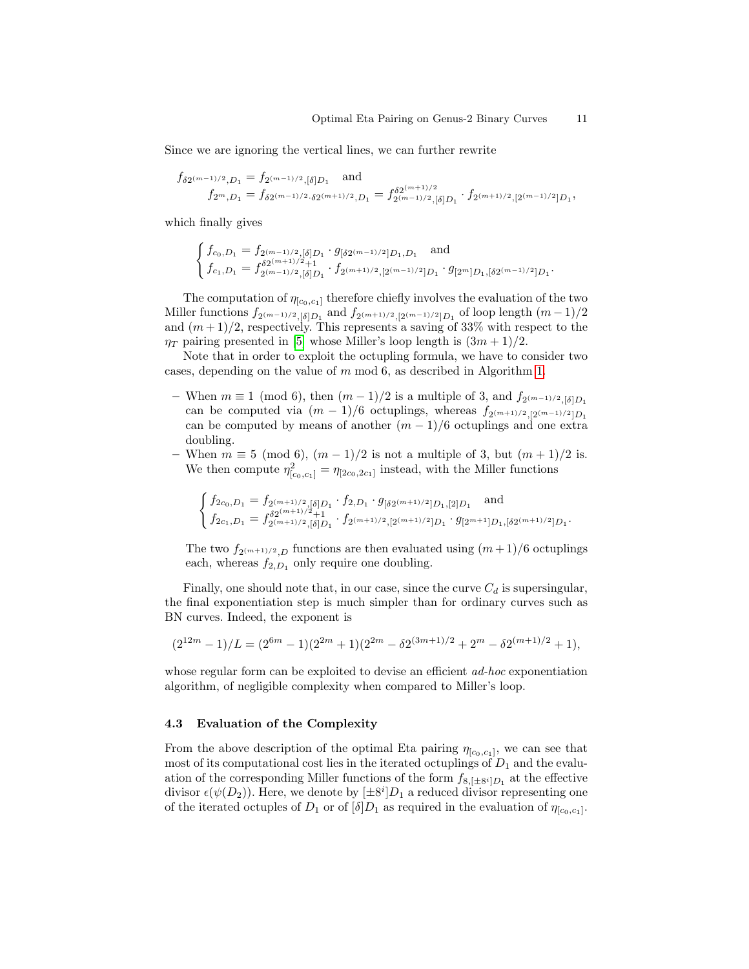Since we are ignoring the vertical lines, we can further rewrite

$$
\begin{array}{c} f_{\delta 2^{(m-1)/2},D_1}=f_{2^{(m-1)/2},[\delta]D_1} \quad \text{and} \\ f_{2^m,D_1}=f_{\delta 2^{(m-1)/2},\delta 2^{(m+1)/2},D_1}=f_{2^{(m-1)/2},[\delta]D_1}^{\delta 2^{(m+1)/2}}\cdot f_{2^{(m+1)/2},[2^{(m-1)/2}]D_1}, \end{array}
$$

which finally gives

$$
\begin{cases} f_{c_0,D_1} = f_{2^{(m-1)/2},[\delta]D_1} \cdot g_{[\delta 2^{(m-1)/2}]D_1,D_1} \quad \text{and} \\ f_{c_1,D_1} = f_{2^{(m-1)/2},[\delta]D_1}^{\delta 2^{(m+1)/2}+1} \cdot f_{2^{(m+1)/2},[2^{(m-1)/2}]D_1} \cdot g_{[2^m]D_1,[\delta 2^{(m-1)/2}]D_1}. \end{cases}
$$

The computation of  $\eta_{[c_0,c_1]}$  therefore chiefly involves the evaluation of the two Miller functions  $f_{2^{(m-1)/2},\delta]}D_1$  and  $f_{2^{(m+1)/2},[2^{(m-1)/2}]}D_1$  of loop length  $(m-1)/2$ and  $(m+1)/2$ , respectively. This represents a saving of 33% with respect to the  $\eta_T$  pairing presented in [\[5\]](#page-16-4) whose Miller's loop length is  $(3m+1)/2$ .

Note that in order to exploit the octupling formula, we have to consider two cases, depending on the value of m mod 6, as described in Algorithm [1.](#page-11-0)

- When  $m \equiv 1 \pmod{6}$ , then  $(m-1)/2$  is a multiple of 3, and  $f_{2(m-1)/2, \lceil \delta \rceil D_1}$ can be computed via  $(m-1)/6$  octuplings, whereas  $f_{2^{(m+1)/2},2^{(m-1)/2}]}$ can be computed by means of another  $(m-1)/6$  octuplings and one extra doubling.
- When  $m \equiv 5 \pmod{6}$ ,  $(m-1)/2$  is not a multiple of 3, but  $(m+1)/2$  is. We then compute  $\eta_{[c_0,c_1]}^2 = \eta_{[2c_0,2c_1]}$  instead, with the Miller functions

$$
\begin{cases} f_{2c_0,D_1}=f_{2^{(m+1)/2},[\delta]D_1}\cdot f_{2,D_1}\cdot g_{[\delta 2^{(m+1)/2} ]D_1,[2]D_1} \quad \text{and} \\ f_{2c_1,D_1}=f_{2^{(m+1)/2},[\delta]D_1}\cdot f_{2^{(m+1)/2},[2^{(m+1)/2} ]D_1}\cdot g_{[2^{m+1}]D_1,[\delta 2^{(m+1)/2} ]D_1}. \end{cases}
$$

The two  $f_{2^{(m+1)/2},D}$  functions are then evaluated using  $(m+1)/6$  octuplings each, whereas  $f_{2,D_1}$  only require one doubling.

Finally, one should note that, in our case, since the curve  $C_d$  is supersingular, the final exponentiation step is much simpler than for ordinary curves such as BN curves. Indeed, the exponent is

$$
(2^{12m} - 1)/L = (2^{6m} - 1)(2^{2m} + 1)(2^{2m} - \delta 2^{(3m+1)/2} + 2^m - \delta 2^{(m+1)/2} + 1),
$$

whose regular form can be exploited to devise an efficient *ad-hoc* exponentiation algorithm, of negligible complexity when compared to Miller's loop.

#### 4.3 Evaluation of the Complexity

From the above description of the optimal Eta pairing  $\eta_{[c_0,c_1]}$ , we can see that most of its computational cost lies in the iterated octuplings of  $D_1$  and the evaluation of the corresponding Miller functions of the form  $f_{8,[\pm 8^i]D_1}$  at the effective divisor  $\epsilon(\psi(D_2))$ . Here, we denote by  $[\pm 8^i]D_1$  a reduced divisor representing one of the iterated octuples of  $D_1$  or of  $[\delta]D_1$  as required in the evaluation of  $\eta_{[c_0,c_1]}$ .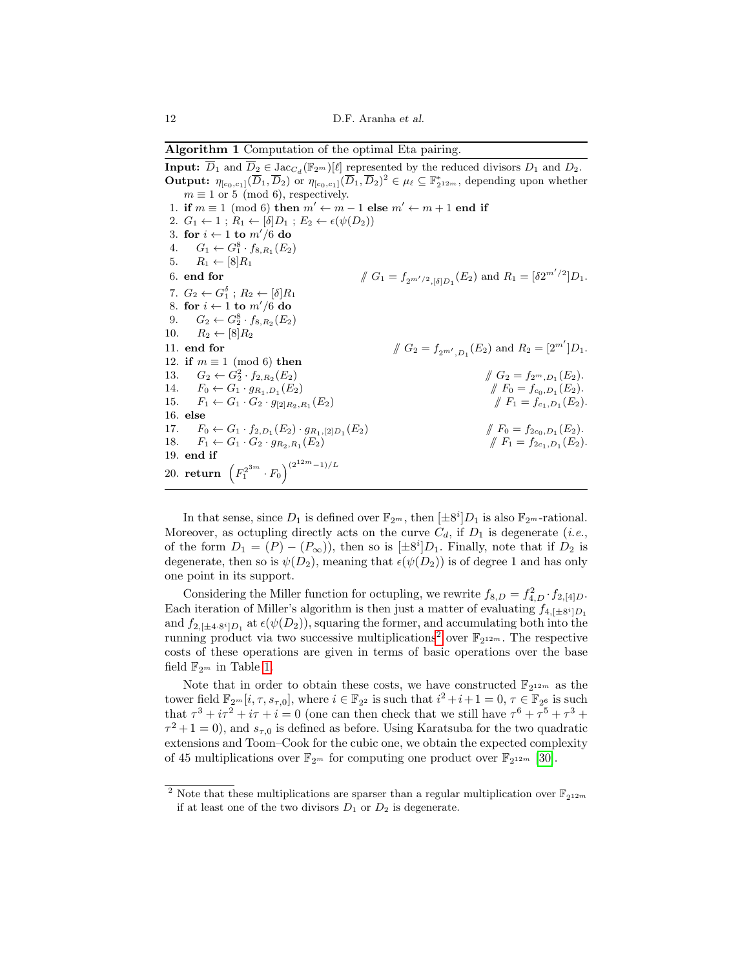<span id="page-11-0"></span>Algorithm 1 Computation of the optimal Eta pairing.

**Input:**  $\overline{D}_1$  and  $\overline{D}_2 \in \text{Jac}_{C_d}(\mathbb{F}_{2^m})[\ell]$  represented by the reduced divisors  $D_1$  and  $D_2$ . **Output:**  $\eta_{[c_0,c_1]}(\overline{D}_1,\overline{D}_2)$  or  $\eta_{[c_0,c_1]}(\overline{D}_1,\overline{D}_2)^2 \in \mu_\ell \subseteq \mathbb{F}_{2^{12m}}^*$ , depending upon whether  $m \equiv 1$  or 5 (mod 6), respectively. 1. if  $m \equiv 1 \pmod{6}$  then  $m' \leftarrow m - 1$  else  $m' \leftarrow m + 1$  end if 2.  $G_1 \leftarrow 1$ ;  $R_1 \leftarrow [\delta] D_1$ ;  $E_2 \leftarrow \epsilon(\psi(D_2))$ 3. for  $i \leftarrow 1$  to  $m'/6$  do 4.  $G_1 \leftarrow G_1^8 \cdot f_{8,R_1}(E_2)$ 5.  $R_1 \leftarrow [8]R_1$ 6. end for  $\int G_1 = f_{2^{m'/2},[\delta]D_1}(E_2)$  and  $R_1 = [\delta 2^{m'/2}]D_1$ . 7.  $G_2 \leftarrow G_1^{\delta}$ ;  $R_2 \leftarrow [\delta] R_1$ 8. for  $i \leftarrow 1$  to  $m'/6$  do 9.  $G_2 \leftarrow G_2^8 \cdot f_{8,R_2}(E_2)$ 10.  $R_2 \leftarrow [8]R_2$ 11. **end for**  $\iint G_2 = f_{2^{m'}}, D_1(E_2)$  and  $R_2 = [2^{m'}]D_1$ . 12. if  $m \equiv 1 \pmod{6}$  then 13.  $G_2 \leftarrow G_2^2 \cdot f_{2,R_2}$  $(E_2)$  //  $G_2 = f_{2^m,D_1}(E_2)$ . 14.  $F_0 \leftarrow G_1 \cdot g_{R_1,D_1}(E_2)$  $(E_2)$  //  $F_0 = f_{c_0,D_1}(E_2).$ 15.  $F_1 \leftarrow G_1 \cdot G_2 \cdot g_{[2]R_2,R_1}(E_2)$  $(E_2)$  //  $F_1 = f_{c_1,D_1}(E_2).$ 16. else 17.  $F_0 \leftarrow G_1 \cdot f_{2,D_1}(E_2) \cdot g_{R_1,[2]D_1}$  $(E_2)$  //  $F_0 = f_{2c_0,D_1}(E_2).$ 18.  $F_1 \leftarrow G_1 \cdot G_2 \cdot g_{R_2,R_1}(E_2)$  $(E_2)$  //  $F_1 = f_{2c_1,D_1}(E_2).$ 19. end if 20. return  $(F_1^{2^{3m}} \cdot F_0)^{(2^{12m}-1)/L}$ 

In that sense, since  $D_1$  is defined over  $\mathbb{F}_{2^m}$ , then  $[\pm 8^i]D_1$  is also  $\mathbb{F}_{2^m}$ -rational. Moreover, as octupling directly acts on the curve  $C_d$ , if  $D_1$  is degenerate (*i.e.*, of the form  $D_1 = (P) - (P_\infty)$ , then so is  $[\pm 8^i]D_1$ . Finally, note that if  $D_2$  is degenerate, then so is  $\psi(D_2)$ , meaning that  $\epsilon(\psi(D_2))$  is of degree 1 and has only one point in its support.

Considering the Miller function for octupling, we rewrite  $f_{8,D} = f_{4,D}^2 \cdot f_{2,[4]D}$ . Each iteration of Miller's algorithm is then just a matter of evaluating  $f_{4,[\pm 8^i]D_1}$ and  $f_{2,[\pm 4\cdot 8^i]D_1}$  at  $\epsilon(\psi(D_2))$ , squaring the former, and accumulating both into the running product via two successive multiplications<sup>[2](#page-11-1)</sup> over  $\mathbb{F}_{2^{12m}}$ . The respective costs of these operations are given in terms of basic operations over the base field  $\mathbb{F}_{2^m}$  in Table [1.](#page-12-0)

Note that in order to obtain these costs, we have constructed  $\mathbb{F}_{2^{12m}}$  as the tower field  $\mathbb{F}_{2^m}[i, \tau, s_{\tau,0}],$  where  $i \in \mathbb{F}_{2^2}$  is such that  $i^2 + i + 1 = 0, \tau \in \mathbb{F}_{2^6}$  is such that  $\tau^3 + i\tau^2 + i\tau + i = 0$  (one can then check that we still have  $\tau^6 + \tau^5 + \tau^3 +$  $\tau^2 + 1 = 0$ , and  $s_{\tau,0}$  is defined as before. Using Karatsuba for the two quadratic extensions and Toom–Cook for the cubic one, we obtain the expected complexity of 45 multiplications over  $\mathbb{F}_{2^m}$  for computing one product over  $\mathbb{F}_{2^{12m}}$  [\[30\]](#page-17-7).

<span id="page-11-1"></span><sup>&</sup>lt;sup>2</sup> Note that these multiplications are sparser than a regular multiplication over  $\mathbb{F}_{2^{12m}}$ if at least one of the two divisors  $D_1$  or  $D_2$  is degenerate.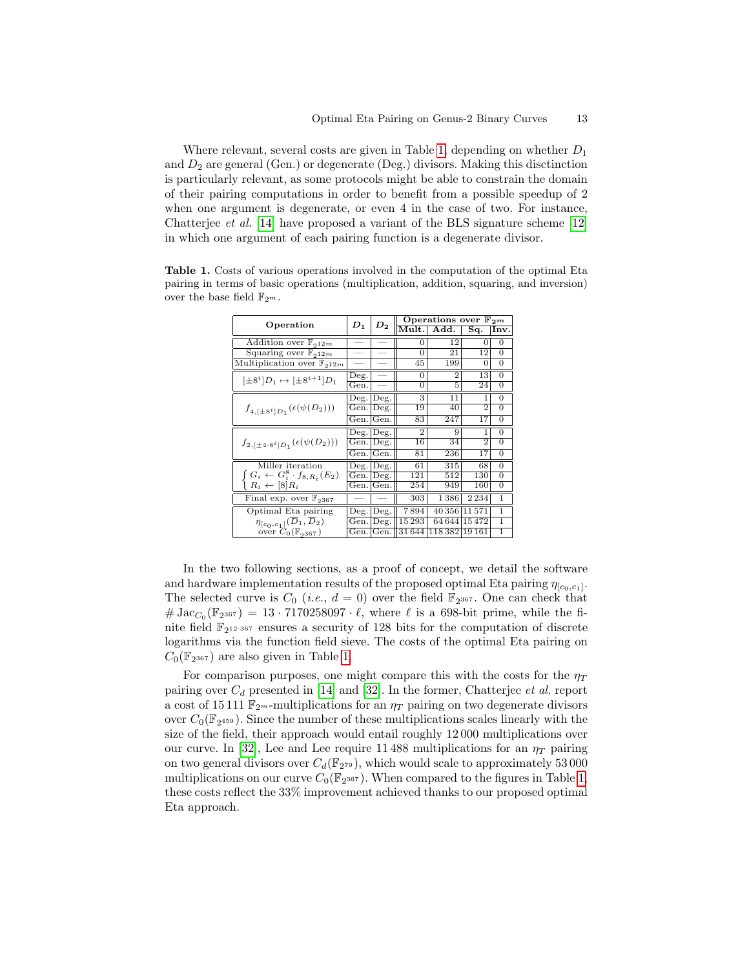Where relevant, several costs are given in Table [1,](#page-12-0) depending on whether  $D_1$ and  $D_2$  are general (Gen.) or degenerate (Deg.) divisors. Making this disctinction is particularly relevant, as some protocols might be able to constrain the domain of their pairing computations in order to benefit from a possible speedup of 2 when one argument is degenerate, or even 4 in the case of two. For instance, Chatterjee et al. [\[14\]](#page-16-15) have proposed a variant of the BLS signature scheme [\[12\]](#page-16-2) in which one argument of each pairing function is a degenerate divisor.

| Operation                                         | $D_1$         | $D_2$         | Operations over $\mathbb{F}_{2^m}$ |                            |                |                |  |
|---------------------------------------------------|---------------|---------------|------------------------------------|----------------------------|----------------|----------------|--|
|                                                   |               |               | Mult.                              | $\overline{\mathrm{Add}}.$ | Sq.            | Inv.           |  |
| Addition over $\mathbb{F}_{212m}$                 |               |               | 0                                  | 12                         | 0              | 0              |  |
| Squaring over $\mathbb{F}_{212m}$                 |               |               | $\Omega$                           | 21                         | 12             | $\Omega$       |  |
| Multiplication over $\mathbb{F}_{212m}$           |               |               | 45                                 | 199                        | 0              | $\Omega$       |  |
| $[\pm 8^i]D_1 \mapsto [\pm 8^{i+1}]D_1$           | Deg.          |               | $\Omega$                           | $\overline{2}$             | 13             | $\Omega$       |  |
|                                                   | Gen.          |               | 0                                  | 5                          | 24             | $\Omega$       |  |
| $f_{4,[\pm 8^i]D_1}(\epsilon(\psi(D_2)))$         | Deg.          | $\text{Deg.}$ | 3                                  | 11                         | 1              | $\overline{0}$ |  |
|                                                   | Gen.          | Deg.          | 19                                 | 40                         | 2              | $\Omega$       |  |
|                                                   | Gen.∣         | Gen.          | 83                                 | 247                        | 17             | 0              |  |
| $f_{2,[\pm 4.8^{i}]D_1}(\epsilon(\psi(D_2)))$     | Deg.          | Deg.          | $\overline{2}$                     | 9                          | 1              | $\Omega$       |  |
|                                                   | Gen.          | Deg.          | 16                                 | 34                         | $\overline{2}$ | $\Omega$       |  |
|                                                   | Gen.          | Gen.          | 81                                 | 236                        | 17             | $\overline{0}$ |  |
| Miller iteration                                  | $\rm{Deg}.$   | Deg.          | 61                                 | 315                        | 68             | 0              |  |
| $G_i \leftarrow G_i^8 \cdot f_{8,R_i}(E_2)$       | Gen.          | Deg.          | 121                                | 512                        | 130            | $\overline{0}$ |  |
| $R_i \leftarrow [8]R_i$                           | Gen.          | Gen.          | 254                                | 949                        | 160            | 0              |  |
| Final exp. over $\mathbb{F}_{3367}$               |               |               | 303                                | 1386                       | 2 2 3 4        | 1              |  |
| Optimal Eta pairing                               | $\text{Deg}.$ | $\log$ .      | 7894                               | 40 356 11 571              |                | 1              |  |
| $\eta_{[c_0,c_1]}(\overline{D}_1,\overline{D}_2)$ | Gen.          | Deg.          | 15 293                             | 64644                      | 15472          | 1              |  |
| over $C_0(\mathbb{F}_{2367})$                     | Gen.          | Gen.          | 31644                              | 118382                     | 19 16 1        | 1              |  |

<span id="page-12-0"></span>Table 1. Costs of various operations involved in the computation of the optimal Eta pairing in terms of basic operations (multiplication, addition, squaring, and inversion) over the base field  $\mathbb{F}_{2^m}$ .

In the two following sections, as a proof of concept, we detail the software and hardware implementation results of the proposed optimal Eta pairing  $\eta_{[c_0,c_1]}$ . The selected curve is  $C_0$  (*i.e.*,  $d = 0$ ) over the field  $\mathbb{F}_{2^{367}}$ . One can check that  $\#\operatorname{Jac}_{C_0}(\mathbb{F}_{2^{367}}) = 13 \cdot 7170258097 \cdot \ell$ , where  $\ell$  is a 698-bit prime, while the finite field  $\mathbb{F}_{2^{12\cdot 367}}$  ensures a security of 128 bits for the computation of discrete logarithms via the function field sieve. The costs of the optimal Eta pairing on  $C_0(\mathbb{F}_{2^{367}})$  are also given in Table [1.](#page-12-0)

For comparison purposes, one might compare this with the costs for the  $\eta_T$ pairing over  $C_d$  presented in [\[14\]](#page-16-15) and [\[32\]](#page-17-14). In the former, Chatterjee et al. report a cost of 15 111  $\mathbb{F}_{2^m}$ -multiplications for an  $\eta_T$  pairing on two degenerate divisors over  $C_0(\mathbb{F}_{2^{459}})$ . Since the number of these multiplications scales linearly with the size of the field, their approach would entail roughly 12 000 multiplications over our curve. In [\[32\]](#page-17-14), Lee and Lee require 11 488 multiplications for an  $\eta_T$  pairing on two general divisors over  $C_d(\mathbb{F}_{2^{79}})$ , which would scale to approximately 53 000 multiplications on our curve  $C_0(\mathbb{F}_{2^{367}})$ . When compared to the figures in Table [1,](#page-12-0) these costs reflect the 33% improvement achieved thanks to our proposed optimal Eta approach.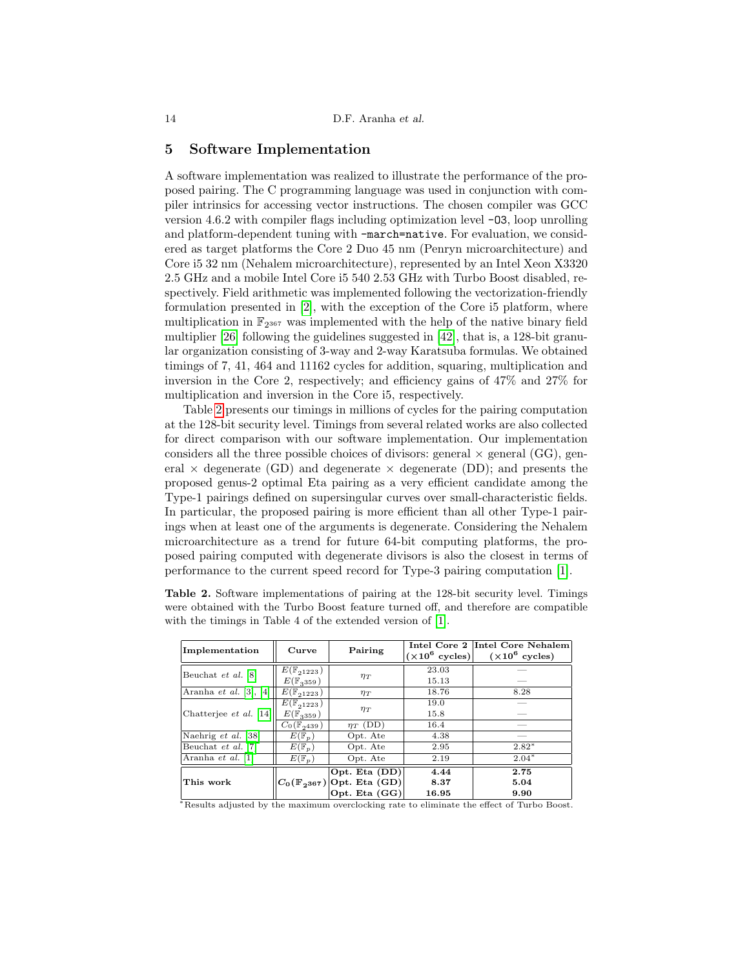### <span id="page-13-0"></span>5 Software Implementation

A software implementation was realized to illustrate the performance of the proposed pairing. The C programming language was used in conjunction with compiler intrinsics for accessing vector instructions. The chosen compiler was GCC version 4.6.2 with compiler flags including optimization level -O3, loop unrolling and platform-dependent tuning with -march=native. For evaluation, we considered as target platforms the Core 2 Duo 45 nm (Penryn microarchitecture) and Core i5 32 nm (Nehalem microarchitecture), represented by an Intel Xeon X3320 2.5 GHz and a mobile Intel Core i5 540 2.53 GHz with Turbo Boost disabled, respectively. Field arithmetic was implemented following the vectorization-friendly formulation presented in [\[2\]](#page-15-2), with the exception of the Core i5 platform, where multiplication in  $\mathbb{F}_{2^{367}}$  was implemented with the help of the native binary field multiplier [\[26\]](#page-17-17) following the guidelines suggested in [\[42\]](#page-17-18), that is, a 128-bit granular organization consisting of 3-way and 2-way Karatsuba formulas. We obtained timings of 7, 41, 464 and 11162 cycles for addition, squaring, multiplication and inversion in the Core 2, respectively; and efficiency gains of 47% and 27% for multiplication and inversion in the Core i5, respectively.

Table [2](#page-13-1) presents our timings in millions of cycles for the pairing computation at the 128-bit security level. Timings from several related works are also collected for direct comparison with our software implementation. Our implementation considers all the three possible choices of divisors: general  $\times$  general (GG), general  $\times$  degenerate (GD) and degenerate  $\times$  degenerate (DD); and presents the proposed genus-2 optimal Eta pairing as a very efficient candidate among the Type-1 pairings defined on supersingular curves over small-characteristic fields. In particular, the proposed pairing is more efficient than all other Type-1 pairings when at least one of the arguments is degenerate. Considering the Nehalem microarchitecture as a trend for future 64-bit computing platforms, the proposed pairing computed with degenerate divisors is also the closest in terms of performance to the current speed record for Type-3 pairing computation [\[1\]](#page-15-0).

<span id="page-13-1"></span>Table 2. Software implementations of pairing at the 128-bit security level. Timings were obtained with the Turbo Boost feature turned off, and therefore are compatible with the timings in Table 4 of the extended version of [\[1\]](#page-15-0).

| Implementation                | Curve                                             | Pairing                                                                       |                       | Intel Core 2 Intel Core Nehalem<br>$(\times 10^6 \text{ cycles})$ $(\times 10^6 \text{ cycles})$ |  |
|-------------------------------|---------------------------------------------------|-------------------------------------------------------------------------------|-----------------------|--------------------------------------------------------------------------------------------------|--|
| Beuchat et al. [8]            | $E(\mathbb{F}_{21223})$<br>$E(\mathbb{F}_{3359})$ | $\eta_T$                                                                      | 23.03<br>15.13        |                                                                                                  |  |
| Aranha et al. $[3]$ , $[4]$   | $E(\mathbb{F}_{21223})$                           | $\eta_T$                                                                      | 18.76                 | 8.28                                                                                             |  |
| Chatterjee <i>et al.</i> [14] | $E(\mathbb{F}_{21223})$<br>$E(\mathbb{F}_{3359})$ | $\eta_T$                                                                      | 19.0<br>15.8          |                                                                                                  |  |
|                               | $\overline{C}_0(\mathbb{F}_{2^{439}})$            | $\eta_T$ (DD)                                                                 | 16.4                  |                                                                                                  |  |
| Naehrig et al. [38]           | $\overline{E}(\mathbb{F}_p)$                      | Opt. Ate                                                                      | 4.38                  |                                                                                                  |  |
| Beuchat et al. [7]            | $E(\mathbb{F}_p)$                                 | Opt. Ate                                                                      | 2.95                  | $2.82*$                                                                                          |  |
| Aranha et al. [1]             | $E(\mathbb{F}_p)$                                 | Opt. Ate                                                                      | 2.19                  | $2.04*$                                                                                          |  |
| This work                     |                                                   | Opt. Eta (DD)<br>$ C_0(\mathbb{F}_{2^{367}}) $ Opt. Eta (GD)<br>Opt. Eta (GG) | 4.44<br>8.37<br>16.95 | 2.75<br>5.04<br>9.90                                                                             |  |

<sup>∗</sup>Results adjusted by the maximum overclocking rate to eliminate the effect of Turbo Boost.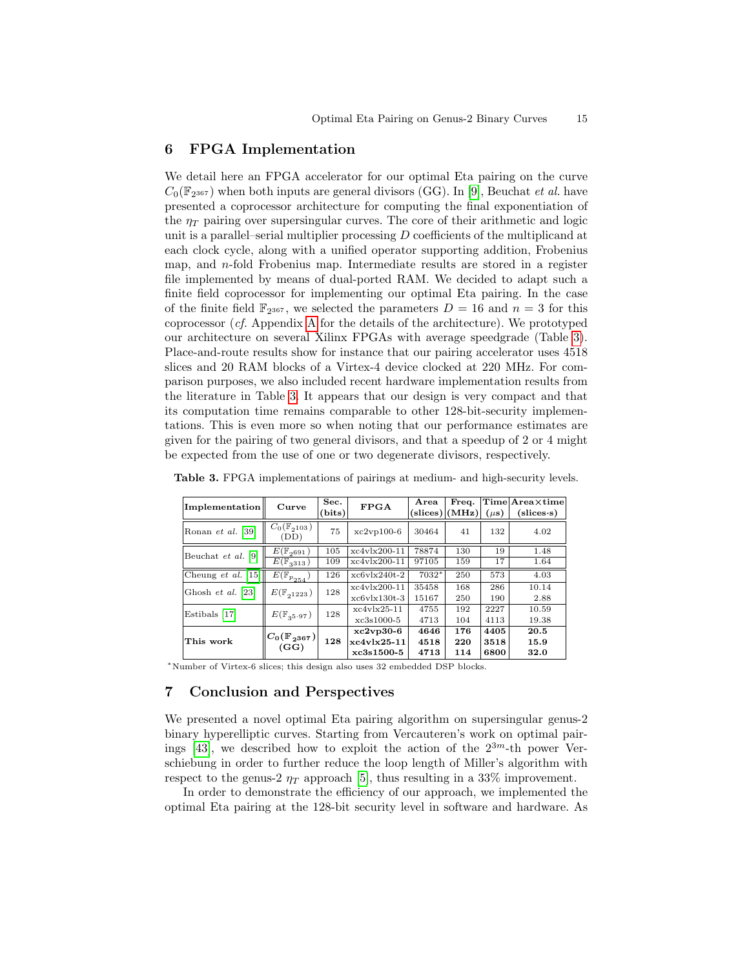### <span id="page-14-0"></span>6 FPGA Implementation

We detail here an FPGA accelerator for our optimal Eta pairing on the curve  $C_0(\mathbb{F}_{2^{367}})$  when both inputs are general divisors (GG). In [\[9\]](#page-16-7), Beuchat *et al.* have presented a coprocessor architecture for computing the final exponentiation of the  $\eta_T$  pairing over supersingular curves. The core of their arithmetic and logic unit is a parallel–serial multiplier processing  $D$  coefficients of the multiplicand at each clock cycle, along with a unified operator supporting addition, Frobenius map, and  $n$ -fold Frobenius map. Intermediate results are stored in a register file implemented by means of dual-ported RAM. We decided to adapt such a finite field coprocessor for implementing our optimal Eta pairing. In the case of the finite field  $\mathbb{F}_{2^{367}}$ , we selected the parameters  $D = 16$  and  $n = 3$  for this coprocessor (cf. Appendix [A](#page-18-0) for the details of the architecture). We prototyped our architecture on several Xilinx FPGAs with average speedgrade (Table [3\)](#page-14-2). Place-and-route results show for instance that our pairing accelerator uses 4518 slices and 20 RAM blocks of a Virtex-4 device clocked at 220 MHz. For comparison purposes, we also included recent hardware implementation results from the literature in Table [3.](#page-14-2) It appears that our design is very compact and that its computation time remains comparable to other 128-bit-security implementations. This is even more so when noting that our performance estimates are given for the pairing of two general divisors, and that a speedup of 2 or 4 might be expected from the use of one or two degenerate divisors, respectively.

| <b>Implementation</b> | Curve                                          | Sec.<br>(bits) | <b>FPGA</b>    | Area    | Freq.<br>$\text{(slices)}$ $\text{(MHz)}$ | $(\mu s)$ | $Time Area\times time $<br>$(slices \cdot s)$ |
|-----------------------|------------------------------------------------|----------------|----------------|---------|-------------------------------------------|-----------|-----------------------------------------------|
| Ronan et al. [39]     | $\overline{C_0}(\mathbb{F}_{2^{103}})$<br>(DD) | 75             | $xc2vp100-6$   | 30464   | 41                                        | 132       | 4.02                                          |
| Beuchat et al. $[9]$  | $E(\mathbb{F}_{2691})$                         | 105            | $xc4v1x200-11$ | 78874   | 130                                       | 19        | 1.48                                          |
|                       | $\overline{E}(\mathbb{F}_{3^{313}})$           | 109            | $xc4v1x200-11$ | 97105   | 159                                       | 17        | 1.64                                          |
| Cheung et al. $[15]$  | $\overline{E(\mathbb{F}_{p_{254}})}$           | 126            | $xcbv1x240t-2$ | $7032*$ | 250                                       | 573       | 4.03                                          |
| Ghosh et al. [23]     | $E(\mathbb{F}_{21223})$                        | 128            | $xc4v1x200-11$ | 35458   | 168                                       | 286       | 10.14                                         |
|                       |                                                |                | $xcbv130t-3$   | 15167   | 250                                       | 190       | 2.88                                          |
| Estibals [17]         | $E(\mathbb{F}_{35\cdot 97})$                   | 128            | $xc4v1x25-11$  | 4755    | 192                                       | 2227      | 10.59                                         |
|                       |                                                |                | $xc3s1000-5$   | 4713    | 104                                       | 4113      | 19.38                                         |
| This work             | $C_0(\mathbb{F}_{2^{367}})$<br>(GG)            | 128            | $xc2vp30-6$    | 4646    | 176                                       | 4405      | 20.5                                          |
|                       |                                                |                | $xc4v1x25-11$  | 4518    | 220                                       | 3518      | 15.9                                          |
|                       |                                                |                | $xc3s1500-5$   | 4713    | 114                                       | 6800      | 32.0                                          |

<span id="page-14-2"></span>Table 3. FPGA implementations of pairings at medium- and high-security levels.

<sup>∗</sup>Number of Virtex-6 slices; this design also uses 32 embedded DSP blocks.

## <span id="page-14-1"></span>7 Conclusion and Perspectives

We presented a novel optimal Eta pairing algorithm on supersingular genus-2 binary hyperelliptic curves. Starting from Vercauteren's work on optimal pair-ings [\[43\]](#page-17-12), we described how to exploit the action of the  $2^{3m}$ -th power Verschiebung in order to further reduce the loop length of Miller's algorithm with respect to the genus-2  $\eta_T$  approach [\[5\]](#page-16-4), thus resulting in a 33% improvement.

In order to demonstrate the efficiency of our approach, we implemented the optimal Eta pairing at the 128-bit security level in software and hardware. As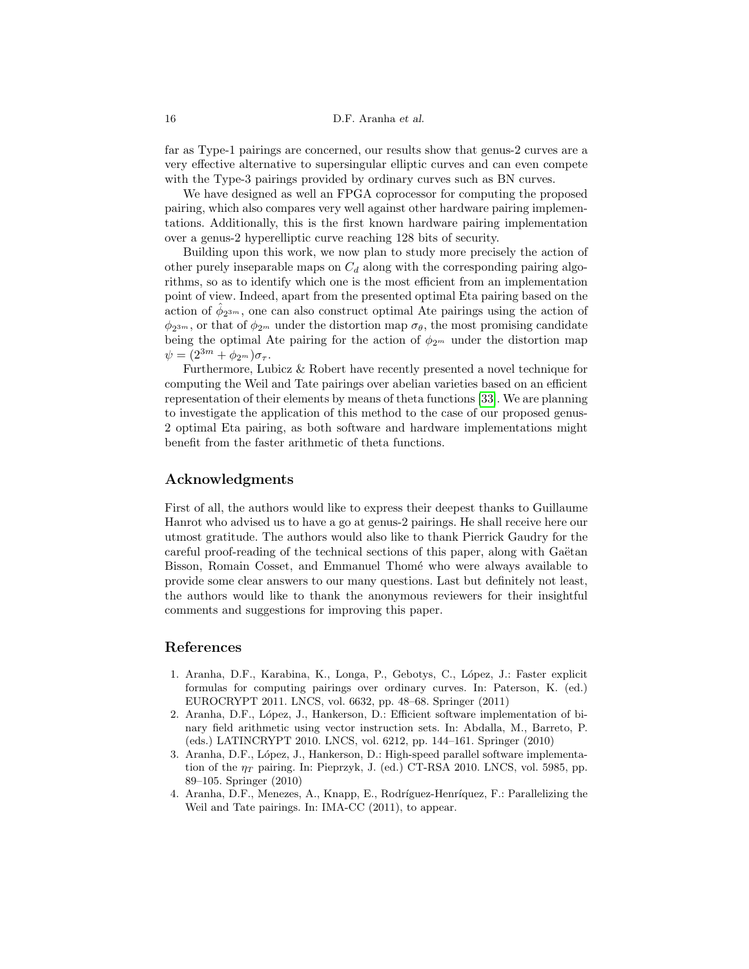far as Type-1 pairings are concerned, our results show that genus-2 curves are a very effective alternative to supersingular elliptic curves and can even compete with the Type-3 pairings provided by ordinary curves such as BN curves.

We have designed as well an FPGA coprocessor for computing the proposed pairing, which also compares very well against other hardware pairing implementations. Additionally, this is the first known hardware pairing implementation over a genus-2 hyperelliptic curve reaching 128 bits of security.

Building upon this work, we now plan to study more precisely the action of other purely inseparable maps on  $C_d$  along with the corresponding pairing algorithms, so as to identify which one is the most efficient from an implementation point of view. Indeed, apart from the presented optimal Eta pairing based on the action of  $\hat{\phi}_{2^{3m}}$ , one can also construct optimal Ate pairings using the action of  $\phi_{2^{3m}}$ , or that of  $\phi_{2^m}$  under the distortion map  $\sigma_{\theta}$ , the most promising candidate being the optimal Ate pairing for the action of  $\phi_{2^m}$  under the distortion map  $\psi = (2^{3m} + \phi_{2^m}) \sigma_{\tau}.$ 

Furthermore, Lubicz & Robert have recently presented a novel technique for computing the Weil and Tate pairings over abelian varieties based on an efficient representation of their elements by means of theta functions [\[33\]](#page-17-20). We are planning to investigate the application of this method to the case of our proposed genus-2 optimal Eta pairing, as both software and hardware implementations might benefit from the faster arithmetic of theta functions.

## Acknowledgments

First of all, the authors would like to express their deepest thanks to Guillaume Hanrot who advised us to have a go at genus-2 pairings. He shall receive here our utmost gratitude. The authors would also like to thank Pierrick Gaudry for the careful proof-reading of the technical sections of this paper, along with Gaëtan Bisson, Romain Cosset, and Emmanuel Thomé who were always available to provide some clear answers to our many questions. Last but definitely not least, the authors would like to thank the anonymous reviewers for their insightful comments and suggestions for improving this paper.

## References

- <span id="page-15-0"></span>1. Aranha, D.F., Karabina, K., Longa, P., Gebotys, C., L´opez, J.: Faster explicit formulas for computing pairings over ordinary curves. In: Paterson, K. (ed.) EUROCRYPT 2011. LNCS, vol. 6632, pp. 48–68. Springer (2011)
- <span id="page-15-2"></span>2. Aranha, D.F., L´opez, J., Hankerson, D.: Efficient software implementation of binary field arithmetic using vector instruction sets. In: Abdalla, M., Barreto, P. (eds.) LATINCRYPT 2010. LNCS, vol. 6212, pp. 144–161. Springer (2010)
- <span id="page-15-1"></span>3. Aranha, D.F., L´opez, J., Hankerson, D.: High-speed parallel software implementation of the  $\eta_T$  pairing. In: Pieprzyk, J. (ed.) CT-RSA 2010. LNCS, vol. 5985, pp. 89–105. Springer (2010)
- <span id="page-15-3"></span>4. Aranha, D.F., Menezes, A., Knapp, E., Rodríguez-Henríquez, F.: Parallelizing the Weil and Tate pairings. In: IMA-CC (2011), to appear.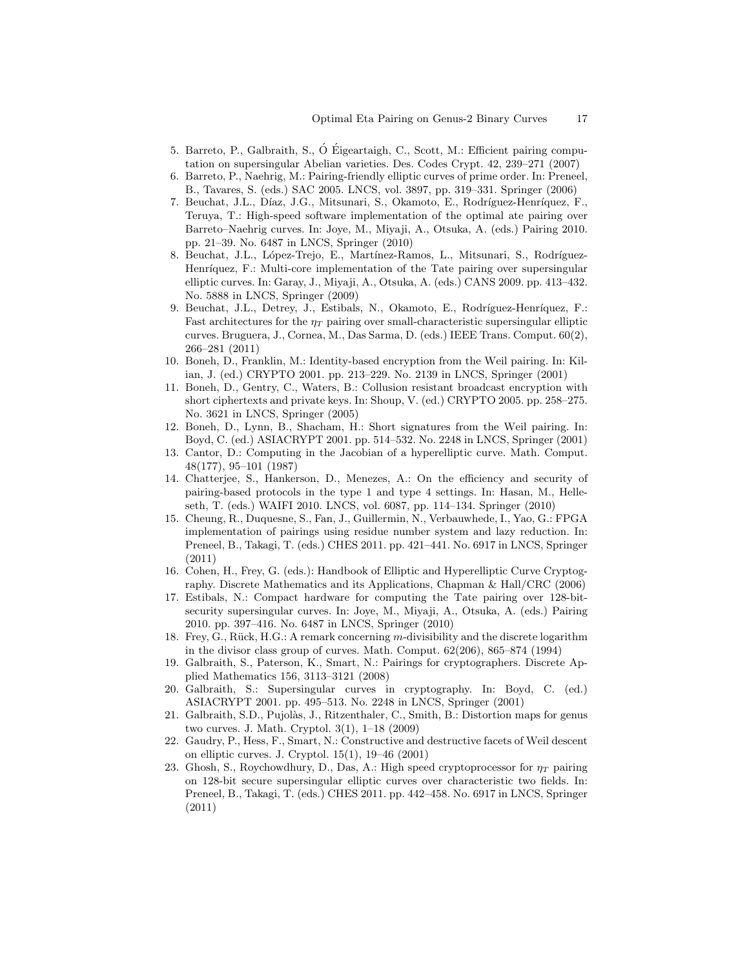- <span id="page-16-4"></span>5. Barreto, P., Galbraith, S., O´ Eigeartaigh, C., Scott, M.: Efficient pairing compu- ´ tation on supersingular Abelian varieties. Des. Codes Crypt. 42, 239–271 (2007)
- <span id="page-16-5"></span>6. Barreto, P., Naehrig, M.: Pairing-friendly elliptic curves of prime order. In: Preneel, B., Tavares, S. (eds.) SAC 2005. LNCS, vol. 3897, pp. 319–331. Springer (2006)
- <span id="page-16-9"></span>7. Beuchat, J.L., Díaz, J.G., Mitsunari, S., Okamoto, E., Rodríguez-Henríquez, F., Teruya, T.: High-speed software implementation of the optimal ate pairing over Barreto–Naehrig curves. In: Joye, M., Miyaji, A., Otsuka, A. (eds.) Pairing 2010. pp. 21–39. No. 6487 in LNCS, Springer (2010)
- <span id="page-16-8"></span>8. Beuchat, J.L., López-Trejo, E., Martínez-Ramos, L., Mitsunari, S., Rodríguez-Henríquez, F.: Multi-core implementation of the Tate pairing over supersingular elliptic curves. In: Garay, J., Miyaji, A., Otsuka, A. (eds.) CANS 2009. pp. 413–432. No. 5888 in LNCS, Springer (2009)
- <span id="page-16-7"></span>9. Beuchat, J.L., Detrey, J., Estibals, N., Okamoto, E., Rodríguez-Henríquez, F.: Fast architectures for the  $\eta_T$  pairing over small-characteristic supersingular elliptic curves. Bruguera, J., Cornea, M., Das Sarma, D. (eds.) IEEE Trans. Comput. 60(2), 266–281 (2011)
- <span id="page-16-1"></span>10. Boneh, D., Franklin, M.: Identity-based encryption from the Weil pairing. In: Kilian, J. (ed.) CRYPTO 2001. pp. 213–229. No. 2139 in LNCS, Springer (2001)
- <span id="page-16-3"></span>11. Boneh, D., Gentry, C., Waters, B.: Collusion resistant broadcast encryption with short ciphertexts and private keys. In: Shoup, V. (ed.) CRYPTO 2005. pp. 258–275. No. 3621 in LNCS, Springer (2005)
- <span id="page-16-2"></span>12. Boneh, D., Lynn, B., Shacham, H.: Short signatures from the Weil pairing. In: Boyd, C. (ed.) ASIACRYPT 2001. pp. 514–532. No. 2248 in LNCS, Springer (2001)
- <span id="page-16-14"></span>13. Cantor, D.: Computing in the Jacobian of a hyperelliptic curve. Math. Comput. 48(177), 95–101 (1987)
- <span id="page-16-15"></span>14. Chatterjee, S., Hankerson, D., Menezes, A.: On the efficiency and security of pairing-based protocols in the type 1 and type 4 settings. In: Hasan, M., Helleseth, T. (eds.) WAIFI 2010. LNCS, vol. 6087, pp. 114–134. Springer (2010)
- <span id="page-16-17"></span>15. Cheung, R., Duquesne, S., Fan, J., Guillermin, N., Verbauwhede, I., Yao, G.: FPGA implementation of pairings using residue number system and lazy reduction. In: Preneel, B., Takagi, T. (eds.) CHES 2011. pp. 421–441. No. 6917 in LNCS, Springer (2011)
- <span id="page-16-13"></span>16. Cohen, H., Frey, G. (eds.): Handbook of Elliptic and Hyperelliptic Curve Cryptography. Discrete Mathematics and its Applications, Chapman & Hall/CRC (2006)
- <span id="page-16-10"></span>17. Estibals, N.: Compact hardware for computing the Tate pairing over 128-bitsecurity supersingular curves. In: Joye, M., Miyaji, A., Otsuka, A. (eds.) Pairing 2010. pp. 397–416. No. 6487 in LNCS, Springer (2010)
- <span id="page-16-0"></span>18. Frey, G., R¨uck, H.G.: A remark concerning m-divisibility and the discrete logarithm in the divisor class group of curves. Math. Comput. 62(206), 865–874 (1994)
- <span id="page-16-6"></span>19. Galbraith, S., Paterson, K., Smart, N.: Pairings for cryptographers. Discrete Applied Mathematics 156, 3113–3121 (2008)
- <span id="page-16-12"></span>20. Galbraith, S.: Supersingular curves in cryptography. In: Boyd, C. (ed.) ASIACRYPT 2001. pp. 495–513. No. 2248 in LNCS, Springer (2001)
- <span id="page-16-16"></span>21. Galbraith, S.D., Pujolàs, J., Ritzenthaler, C., Smith, B.: Distortion maps for genus two curves. J. Math. Cryptol. 3(1), 1–18 (2009)
- <span id="page-16-11"></span>22. Gaudry, P., Hess, F., Smart, N.: Constructive and destructive facets of Weil descent on elliptic curves. J. Cryptol. 15(1), 19–46 (2001)
- <span id="page-16-18"></span>23. Ghosh, S., Roychowdhury, D., Das, A.: High speed cryptoprocessor for  $\eta_T$  pairing on 128-bit secure supersingular elliptic curves over characteristic two fields. In: Preneel, B., Takagi, T. (eds.) CHES 2011. pp. 442–458. No. 6917 in LNCS, Springer (2011)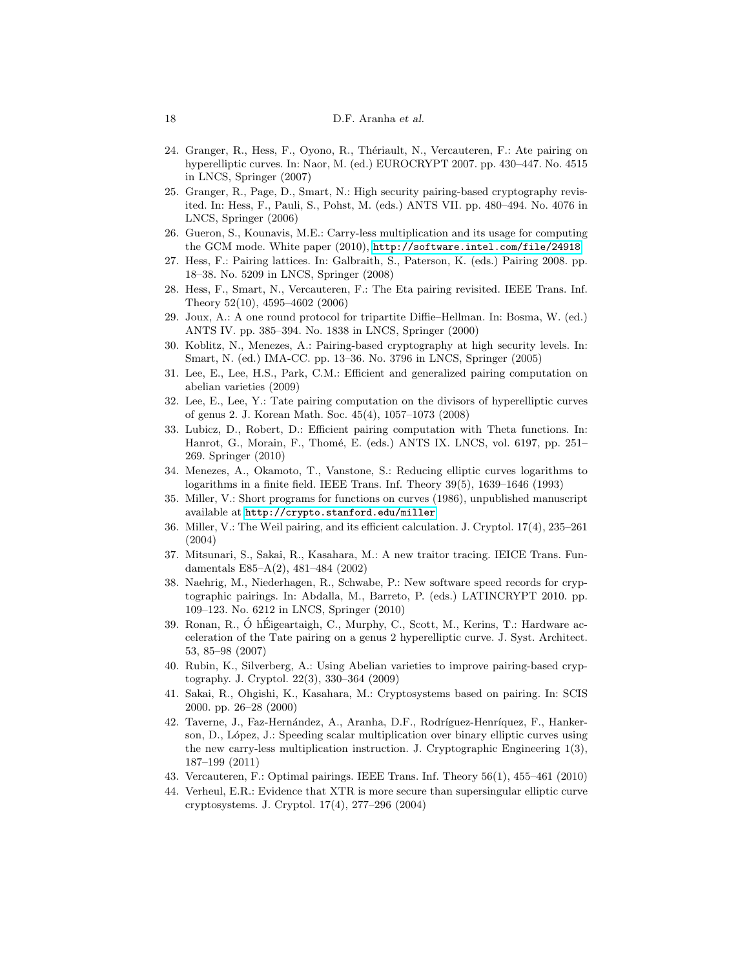#### 18 D.F. Aranha et al.

- <span id="page-17-9"></span>24. Granger, R., Hess, F., Oyono, R., Thériault, N., Vercauteren, F.: Ate pairing on hyperelliptic curves. In: Naor, M. (ed.) EUROCRYPT 2007. pp. 430–447. No. 4515 in LNCS, Springer (2007)
- <span id="page-17-6"></span>25. Granger, R., Page, D., Smart, N.: High security pairing-based cryptography revisited. In: Hess, F., Pauli, S., Pohst, M. (eds.) ANTS VII. pp. 480–494. No. 4076 in LNCS, Springer (2006)
- <span id="page-17-17"></span>26. Gueron, S., Kounavis, M.E.: Carry-less multiplication and its usage for computing the GCM mode. White paper (2010), <http://software.intel.com/file/24918>
- <span id="page-17-10"></span>27. Hess, F.: Pairing lattices. In: Galbraith, S., Paterson, K. (eds.) Pairing 2008. pp. 18–38. No. 5209 in LNCS, Springer (2008)
- <span id="page-17-8"></span>28. Hess, F., Smart, N., Vercauteren, F.: The Eta pairing revisited. IEEE Trans. Inf. Theory 52(10), 4595–4602 (2006)
- <span id="page-17-1"></span>29. Joux, A.: A one round protocol for tripartite Diffie–Hellman. In: Bosma, W. (ed.) ANTS IV. pp. 385–394. No. 1838 in LNCS, Springer (2000)
- <span id="page-17-7"></span>30. Koblitz, N., Menezes, A.: Pairing-based cryptography at high security levels. In: Smart, N. (ed.) IMA-CC. pp. 13–36. No. 3796 in LNCS, Springer (2005)
- <span id="page-17-11"></span>31. Lee, E., Lee, H.S., Park, C.M.: Efficient and generalized pairing computation on abelian varieties (2009)
- <span id="page-17-14"></span>32. Lee, E., Lee, Y.: Tate pairing computation on the divisors of hyperelliptic curves of genus 2. J. Korean Math. Soc. 45(4), 1057–1073 (2008)
- <span id="page-17-20"></span>33. Lubicz, D., Robert, D.: Efficient pairing computation with Theta functions. In: Hanrot, G., Morain, F., Thomé, E. (eds.) ANTS IX. LNCS, vol. 6197, pp. 251– 269. Springer (2010)
- <span id="page-17-0"></span>34. Menezes, A., Okamoto, T., Vanstone, S.: Reducing elliptic curves logarithms to logarithms in a finite field. IEEE Trans. Inf. Theory 39(5), 1639–1646 (1993)
- <span id="page-17-4"></span>35. Miller, V.: Short programs for functions on curves (1986), unpublished manuscript available at <http://crypto.stanford.edu/miller>
- <span id="page-17-5"></span>36. Miller, V.: The Weil pairing, and its efficient calculation. J. Cryptol. 17(4), 235–261 (2004)
- <span id="page-17-2"></span>37. Mitsunari, S., Sakai, R., Kasahara, M.: A new traitor tracing. IEICE Trans. Fundamentals E85–A(2), 481–484 (2002)
- <span id="page-17-19"></span>38. Naehrig, M., Niederhagen, R., Schwabe, P.: New software speed records for cryptographic pairings. In: Abdalla, M., Barreto, P. (eds.) LATINCRYPT 2010. pp. 109–123. No. 6212 in LNCS, Springer (2010)
- <span id="page-17-15"></span>39. Ronan, R., Ó hÉigeartaigh, C., Murphy, C., Scott, M., Kerins, T.: Hardware acceleration of the Tate pairing on a genus 2 hyperelliptic curve. J. Syst. Architect. 53, 85–98 (2007)
- <span id="page-17-13"></span>40. Rubin, K., Silverberg, A.: Using Abelian varieties to improve pairing-based cryptography. J. Cryptol. 22(3), 330–364 (2009)
- <span id="page-17-3"></span>41. Sakai, R., Ohgishi, K., Kasahara, M.: Cryptosystems based on pairing. In: SCIS 2000. pp. 26–28 (2000)
- <span id="page-17-18"></span>42. Taverne, J., Faz-Hernández, A., Aranha, D.F., Rodríguez-Henríquez, F., Hankerson, D., L´opez, J.: Speeding scalar multiplication over binary elliptic curves using the new carry-less multiplication instruction. J. Cryptographic Engineering 1(3), 187–199 (2011)
- <span id="page-17-12"></span>43. Vercauteren, F.: Optimal pairings. IEEE Trans. Inf. Theory 56(1), 455–461 (2010)
- <span id="page-17-16"></span>44. Verheul, E.R.: Evidence that XTR is more secure than supersingular elliptic curve cryptosystems. J. Cryptol. 17(4), 277–296 (2004)